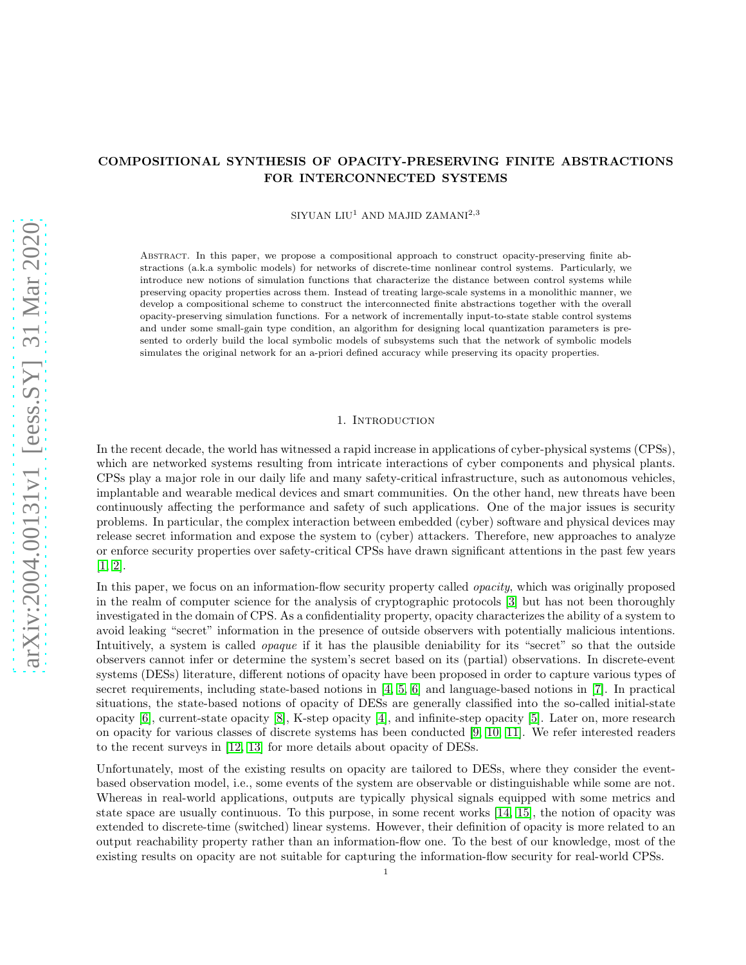# arXiv:2004.00131v1 [eess.SY] 31 Mar 2020 [arXiv:2004.00131v1 \[eess.SY\] 31 Mar 2020](http://arxiv.org/abs/2004.00131v1)

# COMPOSITIONAL SYNTHESIS OF OPACITY-PRESERVING FINITE ABSTRACTIONS FOR INTERCONNECTED SYSTEMS

 $SIVUAN LIU<sup>1</sup> AND MAJID ZAMANI<sup>2,3</sup>$ 

Abstract. In this paper, we propose a compositional approach to construct opacity-preserving finite abstractions (a.k.a symbolic models) for networks of discrete-time nonlinear control systems. Particularly, we introduce new notions of simulation functions that characterize the distance between control systems while preserving opacity properties across them. Instead of treating large-scale systems in a monolithic manner, we develop a compositional scheme to construct the interconnected finite abstractions together with the overall opacity-preserving simulation functions. For a network of incrementally input-to-state stable control systems and under some small-gain type condition, an algorithm for designing local quantization parameters is presented to orderly build the local symbolic models of subsystems such that the network of symbolic models simulates the original network for an a-priori defined accuracy while preserving its opacity properties.

### 1. Introduction

In the recent decade, the world has witnessed a rapid increase in applications of cyber-physical systems (CPSs), which are networked systems resulting from intricate interactions of cyber components and physical plants. CPSs play a major role in our daily life and many safety-critical infrastructure, such as autonomous vehicles, implantable and wearable medical devices and smart communities. On the other hand, new threats have been continuously affecting the performance and safety of such applications. One of the major issues is security problems. In particular, the complex interaction between embedded (cyber) software and physical devices may release secret information and expose the system to (cyber) attackers. Therefore, new approaches to analyze or enforce security properties over safety-critical CPSs have drawn significant attentions in the past few years  $[1, 2].$  $[1, 2].$  $[1, 2].$ 

In this paper, we focus on an information-flow security property called *opacity*, which was originally proposed in the realm of computer science for the analysis of cryptographic protocols [\[3\]](#page-19-2) but has not been thoroughly investigated in the domain of CPS. As a confidentiality property, opacity characterizes the ability of a system to avoid leaking "secret" information in the presence of outside observers with potentially malicious intentions. Intuitively, a system is called *opaque* if it has the plausible deniability for its "secret" so that the outside observers cannot infer or determine the system's secret based on its (partial) observations. In discrete-event systems (DESs) literature, different notions of opacity have been proposed in order to capture various types of secret requirements, including state-based notions in [\[4,](#page-19-3) [5,](#page-19-4) [6\]](#page-19-5) and language-based notions in [\[7\]](#page-19-6). In practical situations, the state-based notions of opacity of DESs are generally classified into the so-called initial-state opacity [\[6\]](#page-19-5), current-state opacity [\[8\]](#page-19-7), K-step opacity [\[4\]](#page-19-3), and infinite-step opacity [\[5\]](#page-19-4). Later on, more research on opacity for various classes of discrete systems has been conducted [\[9,](#page-19-8) [10,](#page-19-9) [11\]](#page-19-10). We refer interested readers to the recent surveys in [\[12,](#page-19-11) [13\]](#page-19-12) for more details about opacity of DESs.

Unfortunately, most of the existing results on opacity are tailored to DESs, where they consider the eventbased observation model, i.e., some events of the system are observable or distinguishable while some are not. Whereas in real-world applications, outputs are typically physical signals equipped with some metrics and state space are usually continuous. To this purpose, in some recent works [\[14,](#page-19-13) [15\]](#page-19-14), the notion of opacity was extended to discrete-time (switched) linear systems. However, their definition of opacity is more related to an output reachability property rather than an information-flow one. To the best of our knowledge, most of the existing results on opacity are not suitable for capturing the information-flow security for real-world CPSs.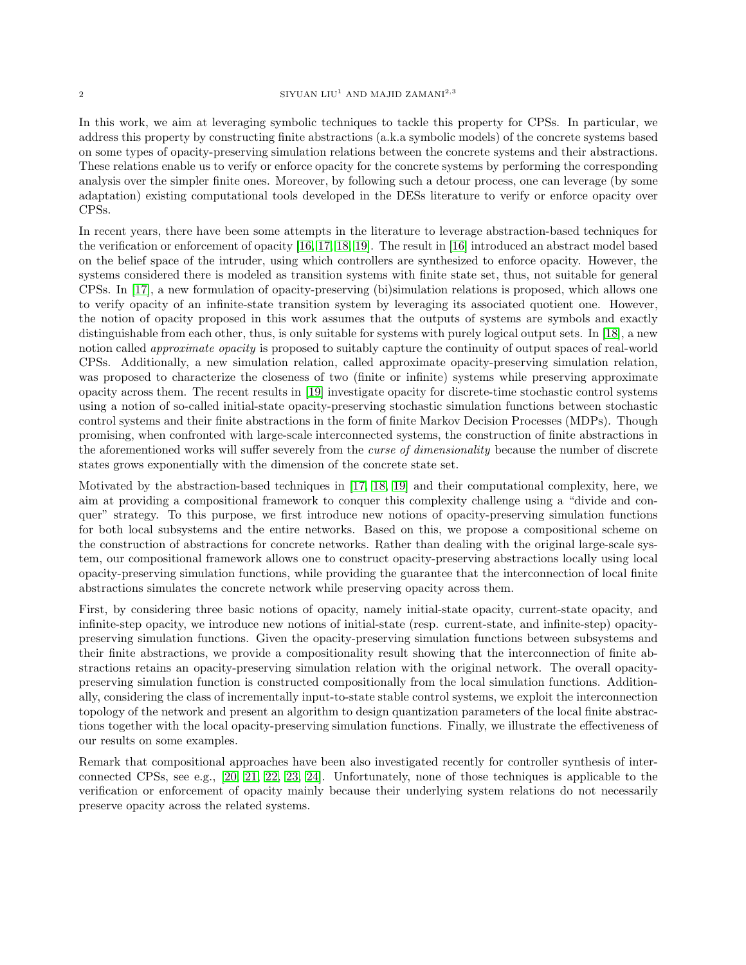In this work, we aim at leveraging symbolic techniques to tackle this property for CPSs. In particular, we address this property by constructing finite abstractions (a.k.a symbolic models) of the concrete systems based on some types of opacity-preserving simulation relations between the concrete systems and their abstractions. These relations enable us to verify or enforce opacity for the concrete systems by performing the corresponding analysis over the simpler finite ones. Moreover, by following such a detour process, one can leverage (by some adaptation) existing computational tools developed in the DESs literature to verify or enforce opacity over CPSs.

In recent years, there have been some attempts in the literature to leverage abstraction-based techniques for the verification or enforcement of opacity [\[16,](#page-19-15) [17,](#page-19-16) [18,](#page-19-17) [19\]](#page-19-18). The result in [\[16\]](#page-19-15) introduced an abstract model based on the belief space of the intruder, using which controllers are synthesized to enforce opacity. However, the systems considered there is modeled as transition systems with finite state set, thus, not suitable for general CPSs. In [\[17\]](#page-19-16), a new formulation of opacity-preserving (bi)simulation relations is proposed, which allows one to verify opacity of an infinite-state transition system by leveraging its associated quotient one. However, the notion of opacity proposed in this work assumes that the outputs of systems are symbols and exactly distinguishable from each other, thus, is only suitable for systems with purely logical output sets. In [\[18\]](#page-19-17), a new notion called *approximate opacity* is proposed to suitably capture the continuity of output spaces of real-world CPSs. Additionally, a new simulation relation, called approximate opacity-preserving simulation relation, was proposed to characterize the closeness of two (finite or infinite) systems while preserving approximate opacity across them. The recent results in [\[19\]](#page-19-18) investigate opacity for discrete-time stochastic control systems using a notion of so-called initial-state opacity-preserving stochastic simulation functions between stochastic control systems and their finite abstractions in the form of finite Markov Decision Processes (MDPs). Though promising, when confronted with large-scale interconnected systems, the construction of finite abstractions in the aforementioned works will suffer severely from the *curse of dimensionality* because the number of discrete states grows exponentially with the dimension of the concrete state set.

Motivated by the abstraction-based techniques in [\[17,](#page-19-16) [18,](#page-19-17) [19\]](#page-19-18) and their computational complexity, here, we aim at providing a compositional framework to conquer this complexity challenge using a "divide and conquer" strategy. To this purpose, we first introduce new notions of opacity-preserving simulation functions for both local subsystems and the entire networks. Based on this, we propose a compositional scheme on the construction of abstractions for concrete networks. Rather than dealing with the original large-scale system, our compositional framework allows one to construct opacity-preserving abstractions locally using local opacity-preserving simulation functions, while providing the guarantee that the interconnection of local finite abstractions simulates the concrete network while preserving opacity across them.

First, by considering three basic notions of opacity, namely initial-state opacity, current-state opacity, and infinite-step opacity, we introduce new notions of initial-state (resp. current-state, and infinite-step) opacitypreserving simulation functions. Given the opacity-preserving simulation functions between subsystems and their finite abstractions, we provide a compositionality result showing that the interconnection of finite abstractions retains an opacity-preserving simulation relation with the original network. The overall opacitypreserving simulation function is constructed compositionally from the local simulation functions. Additionally, considering the class of incrementally input-to-state stable control systems, we exploit the interconnection topology of the network and present an algorithm to design quantization parameters of the local finite abstractions together with the local opacity-preserving simulation functions. Finally, we illustrate the effectiveness of our results on some examples.

Remark that compositional approaches have been also investigated recently for controller synthesis of interconnected CPSs, see e.g., [\[20,](#page-19-19) [21,](#page-19-20) [22,](#page-19-21) [23,](#page-20-0) [24\]](#page-20-1). Unfortunately, none of those techniques is applicable to the verification or enforcement of opacity mainly because their underlying system relations do not necessarily preserve opacity across the related systems.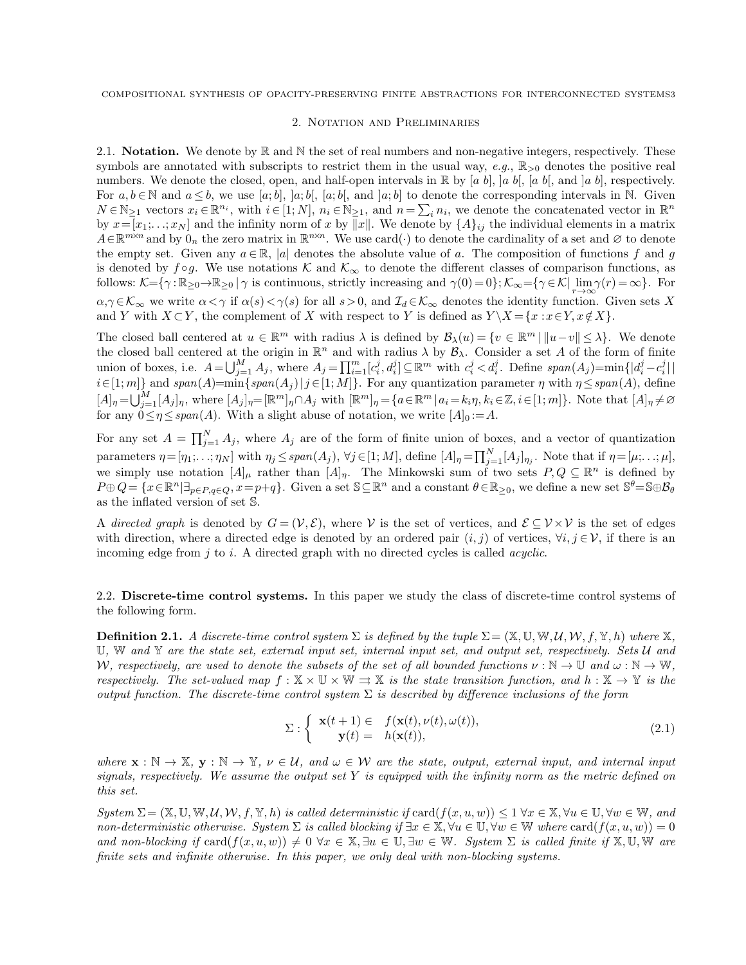### 2. Notation and Preliminaries

2.1. **Notation.** We denote by  $\mathbb{R}$  and  $\mathbb{N}$  the set of real numbers and non-negative integers, respectively. These symbols are annotated with subscripts to restrict them in the usual way,  $e.g., \mathbb{R}_{>0}$  denotes the positive real numbers. We denote the closed, open, and half-open intervals in  $\mathbb R$  by [a b], [a b[, [a b[, and ]a b], respectively. For  $a, b \in \mathbb{N}$  and  $a \leq b$ , we use [a; b], [a; b[, [a; b], and [a; b] to denote the corresponding intervals in N. Given  $N \in \mathbb{N}_{\geq 1}$  vectors  $x_i \in \mathbb{R}^{n_i}$ , with  $i \in [1; N]$ ,  $n_i \in \mathbb{N}_{\geq 1}$ , and  $n = \sum_i n_i$ , we denote the concatenated vector in  $\mathbb{R}^n$ by  $x=[x_1;\ldots;x_N]$  and the infinity norm of x by  $||x||$ . We denote by  $\{A\}_{ij}$  the individual elements in a matrix  $A\in\mathbb{R}^{m\times n}$  and by  $0_n$  the zero matrix in  $\mathbb{R}^{n\times n}$ . We use card( $\cdot$ ) to denote the cardinality of a set and  $\varnothing$  to denote the empty set. Given any  $a \in \mathbb{R}$ , |a| denotes the absolute value of a. The composition of functions f and g is denoted by  $f \circ g$ . We use notations K and  $\mathcal{K}_{\infty}$  to denote the different classes of comparison functions, as follows:  $\mathcal{K} = \{ \gamma : \mathbb{R}_{\geq 0} \to \mathbb{R}_{\geq 0} \mid \gamma \text{ is continuous, strictly increasing and } \gamma(0) = 0 \}$ ;  $\mathcal{K}_{\infty} = \{ \gamma \in \mathcal{K} \mid \lim_{r \to \infty} \gamma(r) = \infty \}$ . For  $\alpha, \gamma \in \mathcal{K}_{\infty}$  we write  $\alpha < \gamma$  if  $\alpha(s) < \gamma(s)$  for all  $s > 0$ , and  $\mathcal{I}_d \in \mathcal{K}_{\infty}$  denotes the identity function. Given sets X and Y with  $X \subset Y$ , the complement of X with respect to Y is defined as  $Y \setminus X = \{x : x \in Y, x \notin X\}.$ 

The closed ball centered at  $u \in \mathbb{R}^m$  with radius  $\lambda$  is defined by  $\mathcal{B}_{\lambda}(u) = \{v \in \mathbb{R}^m \mid ||u-v|| \leq \lambda\}$ . We denote the closed ball centered at the origin in  $\mathbb{R}^n$  and with radius  $\lambda$  by  $\mathcal{B}_\lambda$ . Consider a set A of the form of finite union of boxes, i.e.  $A = \bigcup_{j=1}^{M} A_j$ , where  $A_j = \prod_{i=1}^{m} [c_i^j, d_i^j] \subseteq \mathbb{R}^m$  with  $c_i^j < d_i^j$ . Define  $span(A_j) = min\{|d_i^j - c_i^j| \mid$  $i \in [1; m]$ } and  $span(A) = min\{span(A_j) | j \in [1; M]\}$ . For any quantization parameter  $\eta$  with  $\eta \leq span(A)$ , define  $[A]_{\eta} = \bigcup_{j=1}^{M} [A_j]_{\eta}$ , where  $[A_j]_{\eta} = [\mathbb{R}^m]_{\eta} \cap A_j$  with  $[\mathbb{R}^m]_{\eta} = \{a \in \mathbb{R}^m | a_i = k_i \eta, k_i \in \mathbb{Z}, i \in [1; m]\}.$  Note that  $[A]_{\eta} \neq \emptyset$ for any  $0 \le \eta \le span(A)$ . With a slight abuse of notation, we write  $[A]_0 := A$ .

For any set  $A = \prod_{j=1}^{N} A_j$ , where  $A_j$  are of the form of finite union of boxes, and a vector of quantization parameters  $\eta = [\eta_1; \ldots; \eta_N]$  with  $\eta_j \le \text{span}(A_j)$ ,  $\forall j \in [1; M]$ , define  $[A]_{\eta} = \prod_{j=1}^N [A_j]_{\eta_j}$ . Note that if  $\eta = [\mu; \ldots; \mu]$ , we simply use notation  $[A]_\mu$  rather than  $[A]_\eta$ . The Minkowski sum of two sets  $P, Q \subseteq \mathbb{R}^n$  is defined by  $P\oplus Q = \{x \in \mathbb{R}^n | \exists_{p \in P, q \in Q}, x = p + q\}.$  Given a set  $\mathbb{S} \subseteq \mathbb{R}^n$  and a constant  $\theta \in \mathbb{R}_{\geq 0}$ , we define a new set  $\mathbb{S}^{\theta} = \mathbb{S} \oplus \mathcal{B}_{\theta}$ as the inflated version of set S.

A directed graph is denoted by  $G = (\mathcal{V}, \mathcal{E})$ , where V is the set of vertices, and  $\mathcal{E} \subseteq \mathcal{V} \times \mathcal{V}$  is the set of edges with direction, where a directed edge is denoted by an ordered pair  $(i, j)$  of vertices,  $\forall i, j \in \mathcal{V}$ , if there is an incoming edge from  $i$  to  $i$ . A directed graph with no directed cycles is called *acyclic*.

2.2. Discrete-time control systems. In this paper we study the class of discrete-time control systems of the following form.

<span id="page-2-0"></span>**Definition 2.1.** A discrete-time control system  $\Sigma$  is defined by the tuple  $\Sigma = (\mathbb{X}, \mathbb{U}, \mathbb{W}, \mathcal{U}, \mathcal{W}, f, \mathbb{Y}, h)$  where  $\mathbb{X}, \mathbb{Y}, \mathbb{Y}, \mathbb{Y}, \mathbb{Y}, \mathbb{Y}, \mathbb{Y}, \mathbb{Y}, \mathbb{Y}, \mathbb{Y}, \mathbb{Y}, \mathbb{Y}, \mathbb{Y}, \mathbb{Y}, \mathbb{Y},$ U, W and Y are the state set, external input set, internal input set, and output set, respectively. Sets  $U$  and W, respectively, are used to denote the subsets of the set of all bounded functions  $\nu : \mathbb{N} \to \mathbb{U}$  and  $\omega : \mathbb{N} \to \mathbb{W}$ , respectively. The set-valued map  $f : \mathbb{X} \times \mathbb{U} \times \mathbb{W} \Rightarrow \mathbb{X}$  is the state transition function, and  $h : \mathbb{X} \to \mathbb{Y}$  is the output function. The discrete-time control system  $\Sigma$  is described by difference inclusions of the form

<span id="page-2-1"></span>
$$
\Sigma: \left\{ \begin{array}{rcl} \mathbf{x}(t+1) \in & f(\mathbf{x}(t), \nu(t), \omega(t)), \\ \mathbf{y}(t) = & h(\mathbf{x}(t)), \end{array} \right. \tag{2.1}
$$

where  $\mathbf{x} : \mathbb{N} \to \mathbb{X}, \mathbf{y} : \mathbb{N} \to \mathbb{Y}, \nu \in \mathcal{U}, \text{ and } \omega \in \mathcal{W}$  are the state, output, external input, and internal input signals, respectively. We assume the output set Y is equipped with the infinity norm as the metric defined on this set.

 $System \Sigma = (\mathbb{X}, \mathbb{U}, \mathbb{W}, \mathcal{U}, \mathcal{W}, f, \mathbb{Y}, h)$  is called deterministic if  $card(f(x, u, w)) \leq 1 \forall x \in \mathbb{X}, \forall u \in \mathbb{U}, \forall w \in \mathbb{W}, and$ non-deterministic otherwise. System  $\Sigma$  is called blocking if  $\exists x \in \mathbb{X}, \forall u \in \mathbb{U}, \forall w \in \mathbb{W}$  where  $\text{card}(f(x, u, w)) = 0$ and non-blocking if  $\text{card}(f(x, u, w)) \neq 0 \ \forall x \in \mathbb{X}, \exists u \in \mathbb{U}, \exists w \in \mathbb{W}$ . System  $\Sigma$  is called finite if  $\mathbb{X}, \mathbb{U}, \mathbb{W}$  are finite sets and infinite otherwise. In this paper, we only deal with non-blocking systems.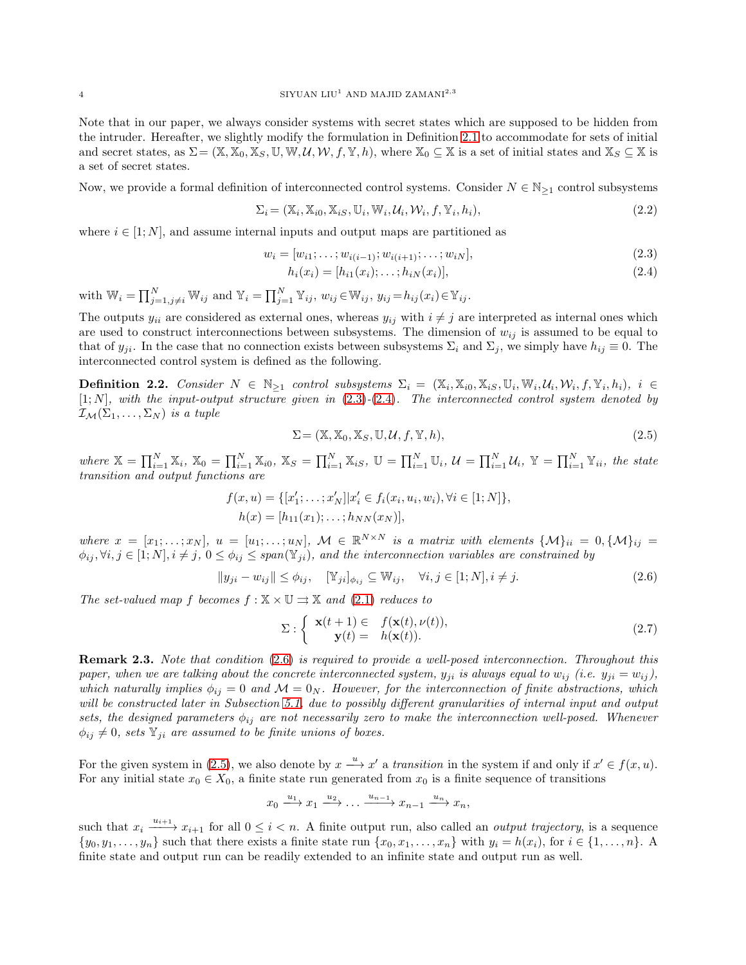Note that in our paper, we always consider systems with secret states which are supposed to be hidden from the intruder. Hereafter, we slightly modify the formulation in Definition [2.1](#page-2-0) to accommodate for sets of initial and secret states, as  $\Sigma = (\mathbb{X}, \mathbb{X}_0, \mathbb{X}_S, \mathbb{U}, \mathbb{W}, \mathcal{U}, \mathcal{W}, f, \mathbb{Y}, h)$ , where  $\mathbb{X}_0 \subseteq \mathbb{X}$  is a set of initial states and  $\mathbb{X}_S \subseteq \mathbb{X}$  is a set of secret states.

Now, we provide a formal definition of interconnected control systems. Consider  $N \in \mathbb{N}_{\geq 1}$  control subsystems

$$
\Sigma_i = (\mathbb{X}_i, \mathbb{X}_{i0}, \mathbb{X}_{iS}, \mathbb{U}_i, \mathbb{W}_i, \mathcal{U}_i, \mathcal{W}_i, f, \mathbb{Y}_i, h_i),
$$
\n(2.2)

where  $i \in [1; N]$ , and assume internal inputs and output maps are partitioned as

$$
w_i = [w_{i1}; \dots; w_{i(i-1)}; w_{i(i+1)}; \dots; w_{iN}],
$$
\n(2.3)

<span id="page-3-1"></span><span id="page-3-0"></span>
$$
h_i(x_i) = [h_{i1}(x_i); \dots; h_{iN}(x_i)], \qquad (2.4)
$$

with  $\mathbb{W}_i = \prod_{j=1, j\neq i}^N \mathbb{W}_{ij}$  and  $\mathbb{Y}_i = \prod_{j=1}^N \mathbb{Y}_{ij}$ ,  $w_{ij} \in \mathbb{W}_{ij}$ ,  $y_{ij} = h_{ij}(x_i) \in \mathbb{Y}_{ij}$ .

The outputs  $y_{ii}$  are considered as external ones, whereas  $y_{ij}$  with  $i \neq j$  are interpreted as internal ones which are used to construct interconnections between subsystems. The dimension of  $w_{ij}$  is assumed to be equal to that of  $y_{ji}$ . In the case that no connection exists between subsystems  $\Sigma_i$  and  $\Sigma_j$ , we simply have  $h_{ij} \equiv 0$ . The interconnected control system is defined as the following.

<span id="page-3-4"></span>**Definition 2.2.** Consider  $N \in \mathbb{N}_{\geq 1}$  control subsystems  $\Sigma_i = (\mathbb{X}_i, \mathbb{X}_{i0}, \mathbb{X}_{iS}, \mathbb{U}_i, \mathbb{W}_i, \mathcal{U}_i, \mathcal{W}_i, f, \mathbb{Y}_i, h_i), i \in$  $[1; N]$ , with the input-output structure given in  $(2.3)-(2.4)$  $(2.3)-(2.4)$  $(2.3)-(2.4)$ . The interconnected control system denoted by  $\mathcal{I}_{\mathcal{M}}(\Sigma_1,\ldots,\Sigma_N)$  is a tuple

<span id="page-3-3"></span>
$$
\Sigma = (\mathbb{X}, \mathbb{X}_0, \mathbb{X}_S, \mathbb{U}, \mathcal{U}, f, \mathbb{Y}, h), \tag{2.5}
$$

where  $\mathbb{X} = \prod_{i=1}^N \mathbb{X}_i$ ,  $\mathbb{X}_0 = \prod_{i=1}^N \mathbb{X}_{i0}$ ,  $\mathbb{X}_S = \prod_{i=1}^N \mathbb{X}_{iS}$ ,  $\mathbb{U} = \prod_{i=1}^N \mathbb{U}_i$ ,  $\mathcal{U} = \prod_{i=1}^N \mathcal{U}_i$ ,  $\mathbb{Y} = \prod_{i=1}^N \mathbb{Y}_{ii}$ , the state transition and output functions are

$$
f(x, u) = \{ [x'_1; \dots; x'_N] | x'_i \in f_i(x_i, u_i, w_i), \forall i \in [1; N] \},
$$
  

$$
h(x) = [h_{11}(x_1); \dots; h_{NN}(x_N)],
$$

where  $x = [x_1; \ldots; x_N], u = [u_1; \ldots; u_N], \mathcal{M} \in \mathbb{R}^{N \times N}$  is a matrix with elements  $\{\mathcal{M}\}_{ii} = 0, \{\mathcal{M}\}_{ij} =$  $\phi_{ij}, \forall i, j \in [1; N], i \neq j, 0 \leq \phi_{ij} \leq span(\mathbb{Y}_{ji})$ , and the interconnection variables are constrained by

$$
||y_{ji} - w_{ij}|| \le \phi_{ij}, \quad [\mathbb{Y}_{ji}]_{\phi_{ij}} \subseteq \mathbb{W}_{ij}, \quad \forall i, j \in [1; N], i \ne j.
$$
\n
$$
(2.6)
$$

The set-valued map f becomes  $f : \mathbb{X} \times \mathbb{U} \rightrightarrows \mathbb{X}$  and  $(2.1)$  reduces to

<span id="page-3-2"></span>
$$
\Sigma: \begin{cases} \mathbf{x}(t+1) \in & f(\mathbf{x}(t), \nu(t)), \\ \mathbf{y}(t) = & h(\mathbf{x}(t)). \end{cases}
$$
\n(2.7)

Remark 2.3. Note that condition [\(2.6\)](#page-3-2) is required to provide a well-posed interconnection. Throughout this paper, when we are talking about the concrete interconnected system,  $y_{ji}$  is always equal to  $w_{ij}$  (i.e.  $y_{ji} = w_{ij}$ ), which naturally implies  $\phi_{ij} = 0$  and  $\mathcal{M} = 0_N$ . However, for the interconnection of finite abstractions, which will be constructed later in Subsection [5.1,](#page-11-0) due to possibly different granularities of internal input and output sets, the designed parameters  $\phi_{ij}$  are not necessarily zero to make the interconnection well-posed. Whenever  $\phi_{ij} \neq 0$ , sets  $\mathbb{Y}_{ji}$  are assumed to be finite unions of boxes.

For the given system in [\(2.5\)](#page-3-3), we also denote by  $x \stackrel{u}{\longrightarrow} x'$  a transition in the system if and only if  $x' \in f(x, u)$ . For any initial state  $x_0 \in X_0$ , a finite state run generated from  $x_0$  is a finite sequence of transitions

$$
x_0 \xrightarrow{u_1} x_1 \xrightarrow{u_2} \dots \xrightarrow{u_{n-1}} x_{n-1} \xrightarrow{u_n} x_n,
$$

such that  $x_i \xrightarrow{u_{i+1}} x_{i+1}$  for all  $0 \leq i < n$ . A finite output run, also called an *output trajectory*, is a sequence  $\{y_0, y_1, \ldots, y_n\}$  such that there exists a finite state run  $\{x_0, x_1, \ldots, x_n\}$  with  $y_i = h(x_i)$ , for  $i \in \{1, \ldots, n\}$ . finite state and output run can be readily extended to an infinite state and output run as well.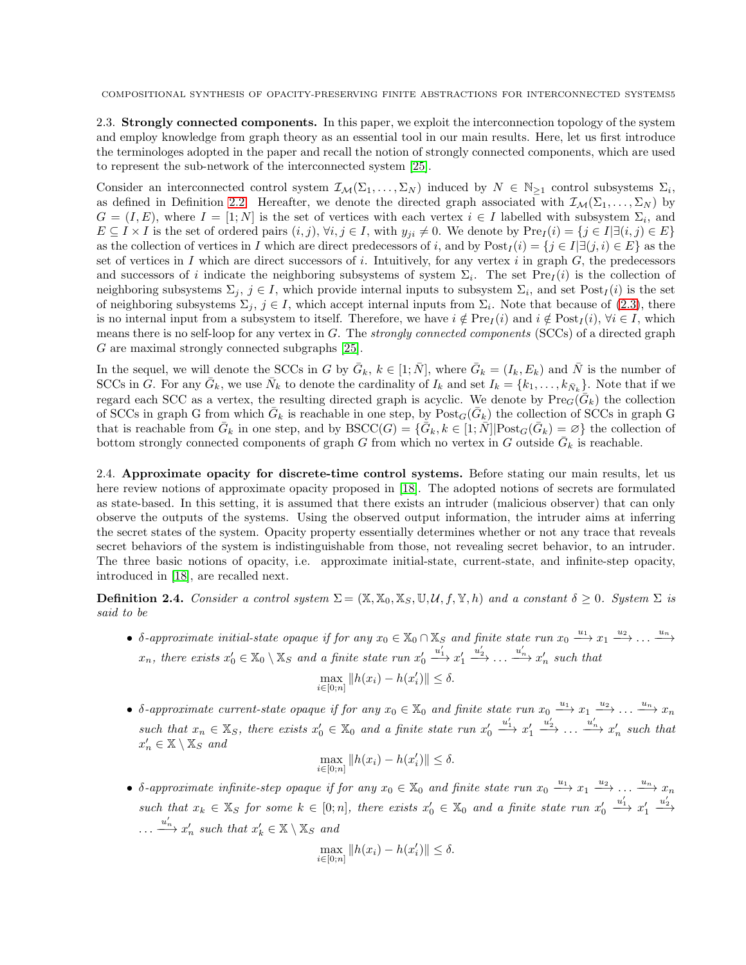2.3. Strongly connected components. In this paper, we exploit the interconnection topology of the system and employ knowledge from graph theory as an essential tool in our main results. Here, let us first introduce the terminologes adopted in the paper and recall the notion of strongly connected components, which are used to represent the sub-network of the interconnected system [\[25\]](#page-20-2).

Consider an interconnected control system  $\mathcal{I}_{\mathcal{M}}(\Sigma_1,\ldots,\Sigma_N)$  induced by  $N \in \mathbb{N}_{\geq 1}$  control subsystems  $\Sigma_i$ , as defined in Definition [2.2.](#page-3-4) Hereafter, we denote the directed graph associated with  $\mathcal{I}_{\mathcal{M}}(\Sigma_1, \ldots, \Sigma_N)$  by  $G = (I, E)$ , where  $I = [1; N]$  is the set of vertices with each vertex  $i \in I$  labelled with subsystem  $\Sigma_i$ , and  $E \subseteq I \times I$  is the set of ordered pairs  $(i, j)$ ,  $\forall i, j \in I$ , with  $y_{ji} \neq 0$ . We denote by  $\text{Pre}_I(i) = \{j \in I | \exists (i, j) \in E\}$ as the collection of vertices in I which are direct predecessors of i, and by  $\text{Post}_I(i) = \{j \in I | \exists (j, i) \in E\}$  as the set of vertices in I which are direct successors of i. Intuitively, for any vertex i in graph  $G$ , the predecessors and successors of i indicate the neighboring subsystems of system  $\Sigma_i$ . The set  $Pre_I(i)$  is the collection of neighboring subsystems  $\Sigma_j$ ,  $j \in I$ , which provide internal inputs to subsystem  $\Sigma_i$ , and set  $Post_I(i)$  is the set of neighboring subsystems  $\Sigma_j$ ,  $j \in I$ , which accept internal inputs from  $\Sigma_i$ . Note that because of [\(2.3\)](#page-3-0), there is no internal input from a subsystem to itself. Therefore, we have  $i \notin \text{Pre}_I(i)$  and  $i \notin \text{Post}_I(i)$ ,  $\forall i \in I$ , which means there is no self-loop for any vertex in  $G$ . The *strongly connected components* (SCCs) of a directed graph G are maximal strongly connected subgraphs [\[25\]](#page-20-2).

In the sequel, we will denote the SCCs in G by  $\bar{G}_k$ ,  $k \in [1;\bar{N}]$ , where  $\bar{G}_k = (I_k, E_k)$  and  $\bar{N}$  is the number of SCCs in G. For any  $\bar{G}_k$ , we use  $\bar{N}_k$  to denote the cardinality of  $I_k$  and set  $I_k = \{k_1, \ldots, k_{\bar{N}_k}\}\.$  Note that if we regard each SCC as a vertex, the resulting directed graph is acyclic. We denote by  $\text{Pre}_G(\bar{G}_k)$  the collection of SCCs in graph G from which  $\bar{G}_k$  is reachable in one step, by  $Post_G(\bar{G}_k)$  the collection of SCCs in graph G that is reachable from  $\bar{G}_k$  in one step, and by  $BSCC(G) = \{ \bar{G}_k, k \in [1; \bar{N}] | \text{Post}_G(\bar{G}_k) = \emptyset \}$  the collection of bottom strongly connected components of graph G from which no vertex in G outside  $\bar{G}_k$  is reachable.

2.4. Approximate opacity for discrete-time control systems. Before stating our main results, let us here review notions of approximate opacity proposed in [\[18\]](#page-19-17). The adopted notions of secrets are formulated as state-based. In this setting, it is assumed that there exists an intruder (malicious observer) that can only observe the outputs of the systems. Using the observed output information, the intruder aims at inferring the secret states of the system. Opacity property essentially determines whether or not any trace that reveals secret behaviors of the system is indistinguishable from those, not revealing secret behavior, to an intruder. The three basic notions of opacity, i.e. approximate initial-state, current-state, and infinite-step opacity, introduced in [\[18\]](#page-19-17), are recalled next.

**Definition 2.4.** Consider a control system  $\Sigma = (\mathbb{X}, \mathbb{X}_0, \mathbb{X}_S, \mathbb{U}, \mathcal{U}, f, \mathbb{Y}, h)$  and a constant  $\delta \geq 0$ . System  $\Sigma$  is said to be

• δ-approximate initial-state opaque if for any  $x_0 \in \mathbb{X}_0 \cap \mathbb{X}_S$  and finite state run  $x_0 \xrightarrow{u_1} x_1 \xrightarrow{u_2} \ldots \xrightarrow{u_n}$  $x_n$ , there exists  $x'_0 \in \mathbb{X}_0 \setminus \mathbb{X}_S$  and a finite state run  $x'_0$  $\xrightarrow{u'_1} x'_1$  $\stackrel{u'_2}{\longrightarrow} \ldots \stackrel{u'_n}{\longrightarrow} x'_n$  such that

$$
\max_{i \in [0; n]} \|h(x_i) - h(x_i')\| \le \delta.
$$

•  $\delta$ -approximate current-state opaque if for any  $x_0 \in \mathbb{X}_0$  and finite state run  $x_0 \stackrel{u_1}{\longrightarrow} x_1 \stackrel{u_2}{\longrightarrow} \ldots \stackrel{u_n}{\longrightarrow} x_n$ such that  $x_n \in \mathbb{X}_S$ , there exists  $x'_0 \in \mathbb{X}_0$  and a finite state run  $x'_0$  $\stackrel{u_1'}{\longrightarrow} x_1'$  $\stackrel{u'_2}{\longrightarrow} \ldots \stackrel{u'_n}{\longrightarrow} x'_n$  such that  $x'_n \in \mathbb{X} \setminus \mathbb{X}_S$  and

$$
\max_{i \in [0; n]} \|h(x_i) - h(x_i')\| \le \delta.
$$

• δ-approximate infinite-step opaque if for any  $x_0 \in \mathbb{X}_0$  and finite state run  $x_0 \stackrel{u_1}{\longrightarrow} x_1 \stackrel{u_2}{\longrightarrow} \ldots \stackrel{u_n}{\longrightarrow} x_n$ such that  $x_k \in \mathbb{X}_S$  for some  $k \in [0; n]$ , there exists  $x'_0 \in \mathbb{X}_0$  and a finite state run  $x'_0$  $\stackrel{u_1'}{\longrightarrow} x_1'$  $\xrightarrow{u_2'}$  $\dots \xrightarrow{u'_n} x'_n$  such that  $x'_k \in \mathbb{X} \setminus \mathbb{X}_S$  and

$$
\max_{i \in [0; n]} \|h(x_i) - h(x_i')\| \le \delta.
$$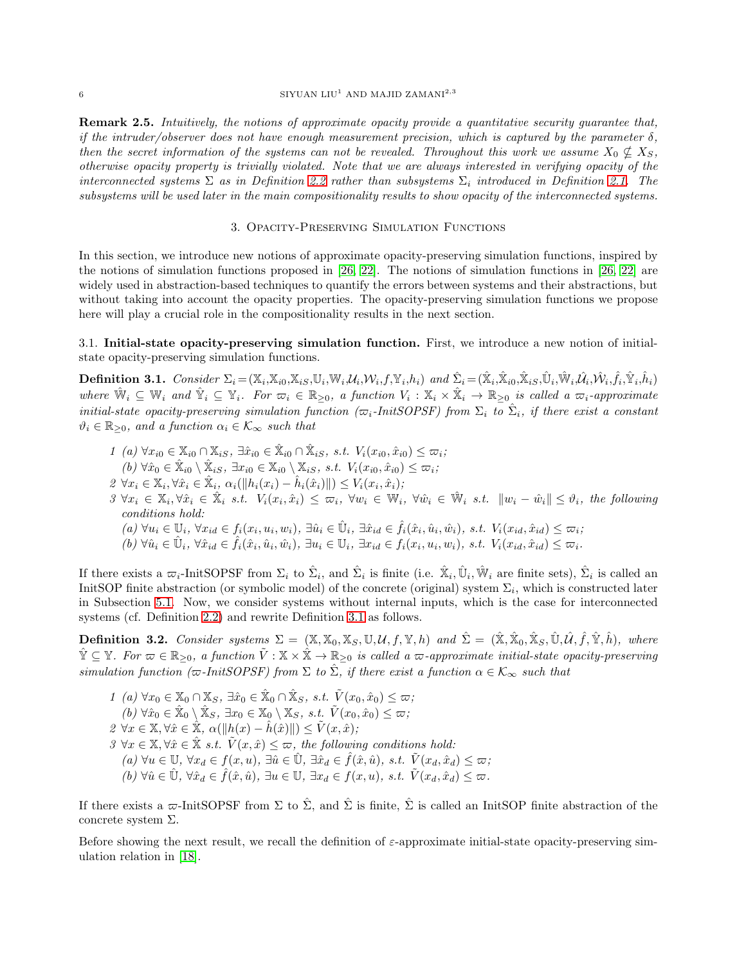### $$\rm SIVUAN~LU^1$  AND MAJID ZAMANI $^{2,3}$

Remark 2.5. Intuitively, the notions of approximate opacity provide a quantitative security guarantee that, if the intruder/observer does not have enough measurement precision, which is captured by the parameter  $\delta$ , then the secret information of the systems can not be revealed. Throughout this work we assume  $X_0 \nsubseteq X_S$ , otherwise opacity property is trivially violated. Note that we are always interested in verifying opacity of the interconnected systems  $\Sigma$  as in Definition [2.2](#page-3-4) rather than subsystems  $\Sigma_i$  introduced in Definition [2.1.](#page-2-0) The subsystems will be used later in the main compositionality results to show opacity of the interconnected systems.

### 3. Opacity-Preserving Simulation Functions

In this section, we introduce new notions of approximate opacity-preserving simulation functions, inspired by the notions of simulation functions proposed in [\[26,](#page-20-3) [22\]](#page-19-21). The notions of simulation functions in [\[26,](#page-20-3) [22\]](#page-19-21) are widely used in abstraction-based techniques to quantify the errors between systems and their abstractions, but without taking into account the opacity properties. The opacity-preserving simulation functions we propose here will play a crucial role in the compositionality results in the next section.

# 3.1. Initial-state opacity-preserving simulation function. First, we introduce a new notion of initialstate opacity-preserving simulation functions.

<span id="page-5-0"></span>**Definition 3.1.** Consider  $\Sigma_i = (\mathbb{X}_i, \mathbb{X}_{i0}, \mathbb{X}_{iS}, \mathbb{U}_i, \mathbb{W}_i, \mathcal{U}_i, \mathcal{W}_i, f, \mathbb{Y}_i, h_i)$  and  $\hat{\Sigma}_i = (\hat{\mathbb{X}}_i, \hat{\mathbb{X}}_{i0}, \hat{\mathbb{X}}_{iS}, \hat{\mathbb{U}}_i, \hat{\mathbb{W}}_i, \hat{\mathcal{U}}_i, \hat{\mathcal{W}}_i, \hat{f}_i, \hat{\mathbb{Y}}_i, \hat{h}_i)$ where  $\hat{W}_i \subseteq W_i$  and  $\hat{Y}_i \subseteq Y_i$ . For  $\overline{\omega}_i \in \mathbb{R}_{\geq 0}$ , a function  $V_i : \mathbb{X}_i \times \hat{\mathbb{X}}_i \to \mathbb{R}_{\geq 0}$  is called a  $\overline{\omega}_i$ -approximate initial-state opacity-preserving simulation function ( $\varpi_i$ -InitSOPSF) from  $\Sigma_i$  to  $\hat{\Sigma}_i$ , if there exist a constant  $\vartheta_i \in \mathbb{R}_{\geq 0}$ , and a function  $\alpha_i \in \mathcal{K}_{\infty}$  such that

1 (a)  $\forall x_{i0} \in \mathbb{X}_{i0} \cap \mathbb{X}_{iS}, \exists \hat{x}_{i0} \in \hat{\mathbb{X}}_{i0} \cap \hat{\mathbb{X}}_{iS}, \text{ s.t. } V_i(x_{i0}, \hat{x}_{i0}) \leq \varpi_i;$  $(b) \forall \hat{x}_0 \in \hat{\mathbb{X}}_{i0} \setminus \hat{\mathbb{X}}_{iS}, \exists x_{i0} \in \mathbb{X}_{i0} \setminus \mathbb{X}_{iS}, \text{ s.t. } V_i(x_{i0}, \hat{x}_{i0}) \leq \varpi_i;$  $2 \ \forall x_i \in \mathbb{X}_i, \forall \hat{x}_i \in \hat{\mathbb{X}}_i, \ \alpha_i(\|h_i(x_i) - \hat{h}_i(\hat{x}_i)\|) \leq V_i(x_i, \hat{x}_i);$  $3 \ \forall x_i \in \mathbb{X}_i, \forall \hat{x}_i \in \hat{\mathbb{X}}_i \ s.t. \ V_i(x_i, \hat{x}_i) \leq \varpi_i, \ \forall w_i \in \mathbb{W}_i, \ \forall \hat{w}_i \in \hat{\mathbb{W}}_i \ s.t. \ ||w_i - \hat{w}_i|| \leq \vartheta_i$ , the following conditions hold:  $(a) \ \forall u_i \in \mathbb{U}_i, \ \forall x_{id} \in f_i(x_i, u_i, w_i), \ \exists \hat{u}_i \in \hat{\mathbb{U}}_i, \ \exists \hat{x}_{id} \in \hat{f}_i(\hat{x}_i, \hat{u}_i, \hat{w}_i), \ s.t. \ V_i(x_{id}, \hat{x}_{id}) \leq \varpi_i;$  $(b) \ \forall \hat{u}_i \in \hat{\mathbb{U}}_i, \ \forall \hat{x}_{id} \in \hat{f}_i(\hat{x}_i, \hat{u}_i, \hat{w}_i), \ \exists u_i \in \mathbb{U}_i, \ \exists x_{id} \in f_i(x_i, u_i, w_i), \ s.t. \ V_i(x_{id}, \hat{x}_{id}) \leq \varpi_i.$ 

If there exists a  $\varpi_i$ -InitSOPSF from  $\Sigma_i$  to  $\hat{\Sigma}_i$ , and  $\hat{\Sigma}_i$  is finite (i.e.  $\hat{\mathbb{X}}_i$ ,  $\hat{\mathbb{U}}_i$ ,  $\hat{\mathbb{W}}_i$  are finite sets),  $\hat{\Sigma}_i$  is called an InitSOP finite abstraction (or symbolic model) of the concrete (original) system  $\Sigma_i$ , which is constructed later in Subsection [5.1.](#page-11-0) Now, we consider systems without internal inputs, which is the case for interconnected systems (cf. Definition [2.2\)](#page-3-4) and rewrite Definition [3.1](#page-5-0) as follows.

<span id="page-5-1"></span>**Definition 3.2.** Consider systems  $\Sigma = (\mathbb{X}, \mathbb{X}_0, \mathbb{X}_S, \mathbb{U}, \mathcal{U}, f, \mathbb{Y}, h)$  and  $\hat{\Sigma} = (\hat{\mathbb{X}}, \hat{\mathbb{X}}_0, \hat{\mathbb{X}}_S, \hat{\mathbb{U}}, \hat{\mathcal{U}}, \hat{f}, \hat{\mathbb{Y}}, \hat{h})$ , where  $\hat{\mathbb{Y}} \subseteq \mathbb{Y}$ . For  $\varpi \in \mathbb{R}_{\geq 0}$ , a function  $\tilde{V}: \mathbb{X} \times \hat{\mathbb{X}} \to \mathbb{R}_{\geq 0}$  is called a  $\varpi$ -approximate initial-state opacity-preserving simulation function ( $\varpi$ -InitSOPSF) from  $\Sigma$  to  $\hat{\Sigma}$ , if there exist a function  $\alpha \in \mathcal{K}_{\infty}$  such that

1 (a) 
$$
\forall x_0 \in \mathbb{X}_0 \cap \mathbb{X}_S, \exists \hat{x}_0 \in \hat{\mathbb{X}}_0 \cap \hat{\mathbb{X}}_S, \text{ s.t. } \tilde{V}(x_0, \hat{x}_0) \leq \varpi;
$$
\n(b)  $\forall \hat{x}_0 \in \hat{\mathbb{X}}_0 \setminus \hat{\mathbb{X}}_S, \exists x_0 \in \mathbb{X}_0 \setminus \mathbb{X}_S, \text{ s.t. } \tilde{V}(x_0, \hat{x}_0) \leq \varpi;$ \n2  $\forall x \in \mathbb{X}, \forall \hat{x} \in \hat{\mathbb{X}}, \alpha(\|h(x) - \hat{h}(\hat{x})\|) \leq \tilde{V}(x, \hat{x});$ \n3  $\forall x \in \mathbb{X}, \forall \hat{x} \in \hat{\mathbb{X}} \text{ s.t. } \tilde{V}(x, \hat{x}) \leq \varpi, \text{ the following conditions hold:}$ \n(a)  $\forall u \in \mathbb{U}, \forall x_d \in f(x, u), \exists \hat{u} \in \hat{\mathbb{U}}, \exists \hat{x}_d \in \hat{f}(\hat{x}, \hat{u}), \text{ s.t. } \tilde{V}(x_d, \hat{x}_d) \leq \varpi;$ \n(b)  $\forall \hat{u} \in \hat{\mathbb{U}}, \forall \hat{x}_d \in \hat{f}(\hat{x}, \hat{u}), \exists u \in \mathbb{U}, \exists x_d \in f(x, u), \text{ s.t. } \tilde{V}(x_d, \hat{x}_d) \leq \varpi.$ 

If there exists a  $\varpi$ -InitSOPSF from  $\Sigma$  to  $\hat{\Sigma}$ , and  $\hat{\Sigma}$  is finite,  $\hat{\Sigma}$  is called an InitSOP finite abstraction of the concrete system Σ.

Before showing the next result, we recall the definition of  $\varepsilon$ -approximate initial-state opacity-preserving simulation relation in [\[18\]](#page-19-17).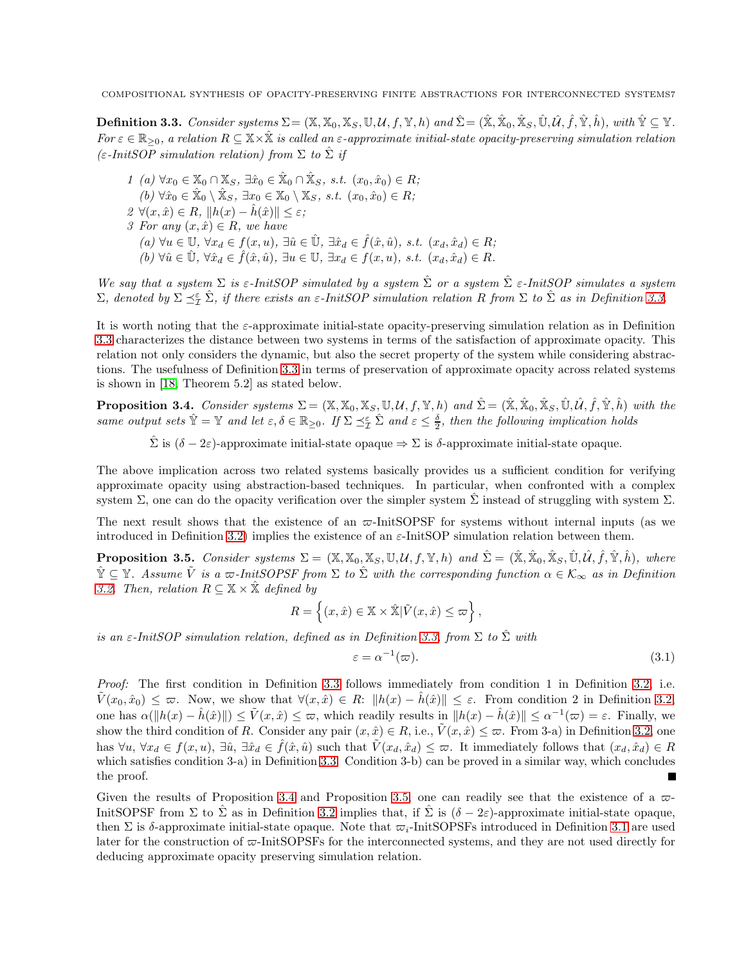<span id="page-6-0"></span> $\textbf{Definition 3.3.} \; \textit{Consider systems} \, \Sigma = (\mathbb{X}, \mathbb{X}_0, \mathbb{X}_S, \mathbb{U}, \mathcal{U}, f, \mathbb{Y}, h) \; \textit{and} \, \hat{\Sigma} = (\hat{\mathbb{X}}, \hat{\mathbb{X}}_0, \hat{\mathbb{X}}_S, \hat{\mathbb{U}}, \hat{\mathcal{U}}, \hat{f}, \hat{\mathbb{Y}}, \hat{h}), \; \textit{with} \; \hat{\mathbb{Y}} \subseteq \mathbb{Y}.$ For  $\varepsilon \in \mathbb{R}_{\geq 0}$ , a relation  $R \subseteq X \times \hat{X}$  is called an  $\varepsilon$ -approximate initial-state opacity-preserving simulation relation  $(\varepsilon\text{-}InitSOP\text{ simulation relation})$  from  $\Sigma$  to  $\hat{\Sigma}$  if

1 (a)  $\forall x_0 \in \mathbb{X}_0 \cap \mathbb{X}_S$ ,  $\exists \hat{x}_0 \in \hat{\mathbb{X}}_0 \cap \hat{\mathbb{X}}_S$ , s.t.  $(x_0, \hat{x}_0) \in R$ ;  $(b) \forall \hat{x}_0 \in \hat{X}_0 \setminus \hat{X}_S, \exists x_0 \in X_0 \setminus X_S, \ s.t. \ (x_0, \hat{x}_0) \in R;$  $2 \forall (x, \hat{x}) \in R, ||h(x) - \hat{h}(\hat{x})|| \leq \varepsilon;$ 3 For any  $(x, \hat{x}) \in R$ , we have  $(a) \forall u \in \mathbb{U}, \forall x_d \in f(x, u), \exists \hat{u} \in \hat{\mathbb{U}}, \exists \hat{x}_d \in \hat{f}(\hat{x}, \hat{u}), \text{ s.t. } (x_d, \hat{x}_d) \in R;$  $(h) \forall \hat{u} \in \mathbb{U}$ ,  $\forall \hat{x}_d \in \hat{f}(\hat{x}, \hat{u})$ ,  $\exists u \in \mathbb{U}$ ,  $\exists x_d \in f(x, u)$ , s.t.  $(x_d, \hat{x}_d) \in R$ .

We say that a system  $\Sigma$  is  $\varepsilon$ -InitSOP simulated by a system  $\hat{\Sigma}$  or a system  $\hat{\Sigma}$   $\varepsilon$ -InitSOP simulates a system  $\Sigma$ , denoted by  $\Sigma \preceq^{\varepsilon}_{\mathcal{I}} \hat{\Sigma}$ , if there exists an  $\varepsilon$ -InitSOP simulation relation R from  $\Sigma$  to  $\hat{\Sigma}$  as in Definition [3.3.](#page-6-0)

It is worth noting that the  $\varepsilon$ -approximate initial-state opacity-preserving simulation relation as in Definition [3.3](#page-6-0) characterizes the distance between two systems in terms of the satisfaction of approximate opacity. This relation not only considers the dynamic, but also the secret property of the system while considering abstractions. The usefulness of Definition [3.3](#page-6-0) in terms of preservation of approximate opacity across related systems is shown in [\[18,](#page-19-17) Theorem 5.2] as stated below.

<span id="page-6-1"></span>**Proposition 3.4.** Consider systems  $\Sigma = (\mathbb{X}, \mathbb{X}_0, \mathbb{X}_S, \mathbb{U}, \mathcal{U}, f, \mathbb{Y}, h)$  and  $\hat{\Sigma} = (\hat{\mathbb{X}}, \hat{\mathbb{X}}_0, \hat{\mathbb{X}}_S, \hat{\mathbb{U}}, \hat{\mathcal{U}}, \hat{f}, \hat{\mathbb{Y}}, \hat{h})$  with the same output sets  $\hat{Y} = Y$  and let  $\varepsilon, \delta \in \mathbb{R}_{\geq 0}$ . If  $\Sigma \preceq^{\varepsilon}_{\mathcal{I}} \hat{\Sigma}$  and  $\varepsilon \leq \frac{\delta}{2}$ , then the following implication holds

 $\hat{\Sigma}$  is  $(\delta - 2\varepsilon)$ -approximate initial-state opaque  $\Rightarrow \Sigma$  is  $\delta$ -approximate initial-state opaque.

The above implication across two related systems basically provides us a sufficient condition for verifying approximate opacity using abstraction-based techniques. In particular, when confronted with a complex system  $\Sigma$ , one can do the opacity verification over the simpler system  $\hat{\Sigma}$  instead of struggling with system  $\Sigma$ .

The next result shows that the existence of an  $\varpi$ -InitSOPSF for systems without internal inputs (as we introduced in Definition [3.2\)](#page-5-1) implies the existence of an  $\varepsilon$ -InitSOP simulation relation between them.

<span id="page-6-2"></span>**Proposition 3.5.** Consider systems  $\Sigma = (\mathbb{X}, \mathbb{X}_0, \mathbb{X}_S, \mathbb{U}, \mathcal{U}, f, \mathbb{Y}, h)$  and  $\hat{\Sigma} = (\hat{\mathbb{X}}, \hat{\mathbb{X}}_0, \hat{\mathbb{X}}_S, \hat{\mathbb{U}}, \hat{\mathcal{U}}, \hat{f}, \hat{\mathbb{Y}}, \hat{h})$ , where  $\hat{\mathbb{Y}} \subseteq \mathbb{Y}$ . Assume  $\tilde{V}$  is a  $\varpi$ -InitSOPSF from  $\Sigma$  to  $\hat{\Sigma}$  with the corresponding function  $\alpha \in \mathcal{K}_{\infty}$  as in Definition [3.2.](#page-5-1) Then, relation  $R \subseteq \mathbb{X} \times \mathbb{X}$  defined by

$$
R = \left\{ (x, \hat{x}) \in \mathbb{X} \times \hat{\mathbb{X}} | \tilde{V}(x, \hat{x}) \leq \varpi \right\},\
$$

is an  $\varepsilon$ -InitSOP simulation relation, defined as in Definition [3.3,](#page-6-0) from  $\Sigma$  to  $\hat{\Sigma}$  with

<span id="page-6-3"></span>
$$
\varepsilon = \alpha^{-1}(\varpi). \tag{3.1}
$$

Proof: The first condition in Definition [3.3](#page-6-0) follows immediately from condition 1 in Definition [3.2,](#page-5-1) i.e.  $\tilde{V}(x_0, \hat{x}_0) \leq \varpi$ . Now, we show that  $\forall (x, \hat{x}) \in R: ||h(x) - \hat{h}(\hat{x})|| \leq \varepsilon$ . From condition 2 in Definition [3.2,](#page-5-1) one has  $\alpha(\|h(x) - \hat{h}(\hat{x})\|) \leq \tilde{V}(x, \hat{x}) \leq \varpi$ , which readily results in  $\|h(x) - \hat{h}(\hat{x})\| \leq \alpha^{-1}(\varpi) = \varepsilon$ . Finally, we show the third condition of R. Consider any pair  $(x, \hat{x}) \in R$ , i.e.,  $\tilde{V}(x, \hat{x}) \leq \varpi$ . From 3-a) in Definition [3.2,](#page-5-1) one has  $\forall u, \forall x_d \in f(x, u), \exists \hat{u}, \exists \hat{x}_d \in \hat{f}(\hat{x}, \hat{u})$  such that  $V(x_d, \hat{x}_d) \leq \varpi$ . It immediately follows that  $(x_d, \hat{x}_d) \in R$ which satisfies condition 3-a) in Definition [3.3.](#page-6-0) Condition 3-b) can be proved in a similar way, which concludes the proof.

Given the results of Proposition [3.4](#page-6-1) and Proposition [3.5,](#page-6-2) one can readily see that the existence of a  $\overline{\omega}$ -InitSOPSF from  $\Sigma$  to  $\overline{\Sigma}$  as in Definition [3.2](#page-5-1) implies that, if  $\overline{\Sigma}$  is  $(\delta - 2\varepsilon)$ -approximate initial-state opaque, then  $\Sigma$  is δ-approximate initial-state opaque. Note that  $\overline{\omega_i}$ -InitSOPSFs introduced in Definition [3.1](#page-5-0) are used later for the construction of  $\varpi$ -InitSOPSFs for the interconnected systems, and they are not used directly for deducing approximate opacity preserving simulation relation.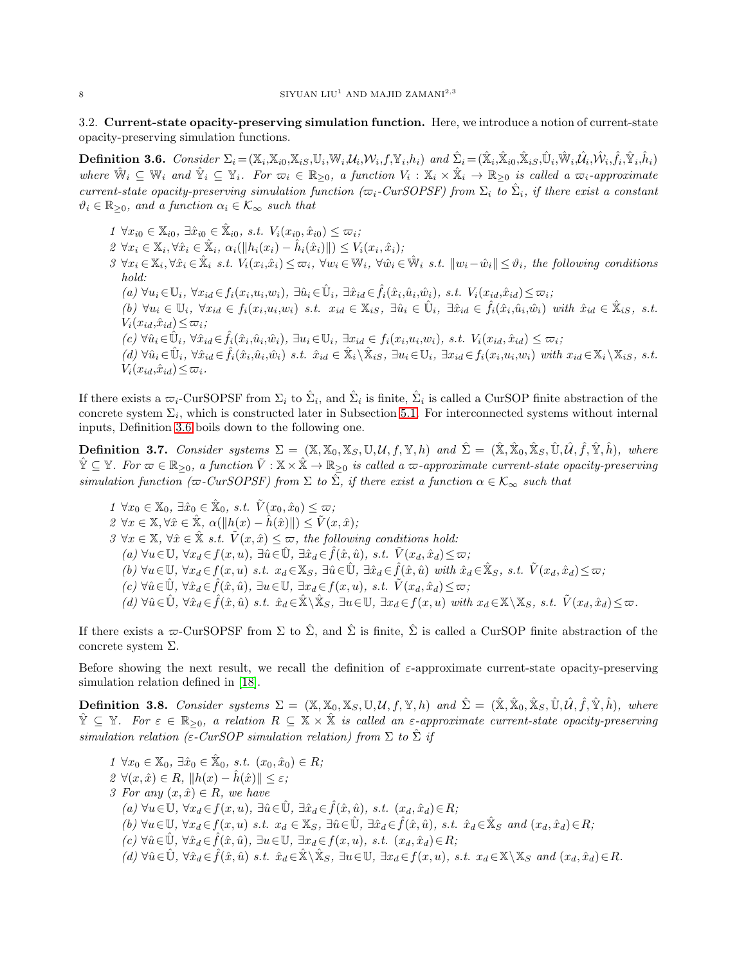3.2. Current-state opacity-preserving simulation function. Here, we introduce a notion of current-state opacity-preserving simulation functions.

<span id="page-7-0"></span>**Definition 3.6.** Consider  $\Sigma_i = (\mathbb{X}_i, \mathbb{X}_{i0}, \mathbb{X}_{iS}, \mathbb{U}_i, \mathbb{W}_i, \mathcal{U}_i, \mathcal{W}_i, f, \mathbb{Y}_i, h_i)$  and  $\hat{\Sigma}_i = (\hat{\mathbb{X}}_i, \hat{\mathbb{X}}_{i0}, \hat{\mathbb{X}}_{iS}, \hat{\mathbb{U}}_i, \hat{\mathbb{W}}_i, \hat{\mathcal{U}}_i, \hat{\mathcal{W}}_i, \hat{f}_i, \hat{\mathbb{Y}}_i, \hat{h}_i)$ where  $\hat{W}_i \subseteq W_i$  and  $\hat{Y}_i \subseteq Y_i$ . For  $\overline{\omega}_i \in \mathbb{R}_{\geq 0}$ , a function  $V_i : \mathbb{X}_i \times \hat{\mathbb{X}}_i \to \mathbb{R}_{\geq 0}$  is called a  $\overline{\omega}_i$ -approximate current-state opacity-preserving simulation function ( $\varpi_i$ -CurSOPSF) from  $\Sigma_i$  to  $\hat{\Sigma}_i$ , if there exist a constant  $\vartheta_i \in \mathbb{R}_{\geq 0}$ , and a function  $\alpha_i \in \mathcal{K}_{\infty}$  such that

 $1 \ \forall x_{i0} \in \mathbb{X}_{i0}, \exists \hat{x}_{i0} \in \hat{\mathbb{X}}_{i0}, \ s.t. \ V_i(x_{i0}, \hat{x}_{i0}) \leq \varpi_i;$  $2 \ \forall x_i \in \mathbb{X}_i, \forall \hat{x}_i \in \hat{\mathbb{X}}_i, \ \alpha_i(||h_i(x_i) - \hat{h}_i(\hat{x}_i)||) \leq V_i(x_i, \hat{x}_i);$  $3 \ \forall x_i \in \mathbb{X}_i, \forall \hat{x}_i \in \hat{\mathbb{X}}_i \ s.t. \ V_i(x_i, \hat{x}_i) \leq \varpi_i, \ \forall w_i \in \mathbb{W}_i, \ \forall \hat{w}_i \in \hat{\mathbb{W}}_i \ s.t. \ ||w_i - \hat{w}_i|| \leq \vartheta_i$ , the following conditions hold:  $(a) \ \forall u_i \in \mathbb{U}_i, \ \forall x_{id} \in f_i(x_i, u_i, w_i), \ \exists \hat{u}_i \in \hat{\mathbb{U}}_i, \ \exists \hat{x}_{id} \in \hat{f}_i(\hat{x}_i, \hat{u}_i, \hat{w}_i), \ s.t. \ V_i(x_{id}, \hat{x}_{id}) \leq \varpi_i;$  $(b) \ \forall u_i \in \mathbb{U}_i, \ \forall x_{id} \in f_i(x_i, u_i, w_i) \ s.t. \ x_{id} \in \mathbb{X}_{iS}, \ \exists \hat{u}_i \in \hat{\mathbb{U}}_i, \ \exists \hat{x}_{id} \in \hat{f}_i(\hat{x}_i, \hat{u}_i, \hat{w}_i) \ with \ \hat{x}_{id} \in \hat{\mathbb{X}}_{iS}, \ s.t.$  $V_i(x_{id},\hat{x}_{id}) \leq \varpi_i;$  $(c) \ \forall \hat{u}_i \in \hat{\mathbb{U}}_i, \ \forall \hat{x}_{id} \in \hat{f}_i(\hat{x}_i, \hat{u}_i, \hat{w}_i), \ \exists u_i \in \mathbb{U}_i, \ \exists x_{id} \in f_i(x_i, u_i, w_i), \ s.t. \ V_i(x_{id}, \hat{x}_{id}) \leq \varpi_i;$  $(d) \ \forall \hat{u}_i \in \hat{\mathbb{U}}_i, \ \forall \hat{x}_{id} \in \hat{f}_i(\hat{x}_i, \hat{u}_i, \hat{w}_i) \ s.t. \ \hat{x}_{id} \in \hat{\mathbb{X}}_i \setminus \hat{\mathbb{X}}_{iS}, \ \exists u_i \in \mathbb{U}_i, \ \exists x_{id} \in f_i(x_i, u_i, w_i) \ with \ x_{id} \in \mathbb{X}_i \setminus \mathbb{X}_{iS}, \ s.t.$  $V_i(x_{id},\hat{x}_{id}) \leq \varpi_i$ .

If there exists a  $\overline{\omega}_i$ -CurSOPSF from  $\Sigma_i$  to  $\hat{\Sigma}_i$ , and  $\hat{\Sigma}_i$  is finite,  $\hat{\Sigma}_i$  is called a CurSOP finite abstraction of the concrete system  $\Sigma_i$ , which is constructed later in Subsection [5.1.](#page-11-0) For interconnected systems without internal inputs, Definition [3.6](#page-7-0) boils down to the following one.

<span id="page-7-1"></span>**Definition 3.7.** Consider systems  $\Sigma = (\mathbb{X}, \mathbb{X}_0, \mathbb{X}_S, \mathbb{U}, \mathcal{U}, f, \mathbb{Y}, h)$  and  $\hat{\Sigma} = (\hat{\mathbb{X}}, \hat{\mathbb{X}}_0, \hat{\mathbb{X}}_S, \hat{\mathbb{U}}, \hat{\mathcal{U}}, \hat{f}, \hat{\mathbb{Y}}, \hat{h})$ , where  $\hat{\mathbb{Y}} \subseteq \mathbb{Y}$ . For  $\varpi \in \mathbb{R}_{\geq 0}$ , a function  $\tilde{V} : \mathbb{X} \times \hat{\mathbb{X}} \to \mathbb{R}_{\geq 0}$  is called a  $\varpi$ -approximate current-state opacity-preserving simulation function ( $\varpi$ -CurSOPSF) from  $\Sigma$  to  $\hat{\Sigma}$ , if there exist a function  $\alpha \in \mathcal{K}_{\infty}$  such that

 $1 \ \forall x_0 \in \mathbb{X}_0, \exists \hat{x}_0 \in \hat{\mathbb{X}}_0, \ s.t. \ \ \tilde{V}(x_0, \hat{x}_0) \leq \varpi;$  $2 \forall x \in \mathbb{X}, \forall \hat{x} \in \hat{\mathbb{X}}, \alpha(\|h(x) - \hat{h}(\hat{x})\|) \leq \tilde{V}(x, \hat{x});$  $3 \forall x \in \mathbb{X}, \forall \hat{x} \in \mathbb{X} \text{ s.t. } \tilde{V}(x, \hat{x}) \leq \varpi$ , the following conditions hold: (a)  $\forall u \in \mathbb{U}, \forall x_d \in f(x, u), \exists \hat{u} \in \hat{\mathbb{U}}, \exists \hat{x}_d \in \hat{f}(\hat{x}, \hat{u}), \text{ s.t. } \tilde{V}(x_d, \hat{x}_d) \leq \varpi;$  $(b) \forall u \in \mathbb{U}, \forall x_d \in f(x, u) \text{ s.t. } x_d \in \mathbb{X}_S, \exists \hat{u} \in \hat{\mathbb{U}}, \exists \hat{x}_d \in \hat{f}(\hat{x}, \hat{u}) \text{ with } \hat{x}_d \in \hat{\mathbb{X}}_S, \text{ s.t. } \tilde{V}(x_d, \hat{x}_d) \leq \varpi;$  $(c) \forall \hat{u} \in \hat{\mathbb{U}}, \forall \hat{x}_d \in \hat{f}(\hat{x}, \hat{u}), \exists u \in \mathbb{U}, \exists x_d \in f(x, u), s.t. \ \tilde{V}(x_d, \hat{x}_d) \leq \varpi;$  $(d) \; \forall \hat{u} \in \hat{\mathbb{U}}, \; \forall \hat{x}_d \in \hat{f}(\hat{x}, \hat{u}) \; \text{ s.t. } \; \hat{x}_d \in \hat{\mathbb{X}} \setminus \hat{\mathbb{X}}_S, \; \exists u \in \mathbb{U}, \; \exists x_d \in f(x, u) \; \text{ with } \; x_d \in \mathbb{X} \setminus \mathbb{X}_S, \; \text{s.t. } \; \tilde{V}(x_d, \hat{x}_d) \leq \varpi.$ 

If there exists a  $\varpi$ -CurSOPSF from  $\Sigma$  to  $\hat{\Sigma}$ , and  $\hat{\Sigma}$  is finite,  $\hat{\Sigma}$  is called a CurSOP finite abstraction of the concrete system  $\Sigma$ .

Before showing the next result, we recall the definition of  $\varepsilon$ -approximate current-state opacity-preserving simulation relation defined in [\[18\]](#page-19-17).

**Definition 3.8.** Consider systems  $\Sigma = (\mathbb{X}, \mathbb{X}_0, \mathbb{X}_S, \mathbb{U}, \mathcal{U}, f, \mathbb{Y}, h)$  and  $\hat{\Sigma} = (\hat{\mathbb{X}}, \hat{\mathbb{X}}_0, \hat{\mathbb{X}}_S, \hat{\mathbb{U}}, \hat{\mathcal{U}}, \hat{f}, \hat{\mathbb{Y}}, \hat{h})$ , where  $\mathbb{Y} \subseteq \mathbb{Y}$ . For  $\varepsilon \in \mathbb{R}_{>0}$ , a relation  $R \subseteq \mathbb{X} \times \mathbb{X}$  is called an  $\varepsilon$ -approximate current-state opacity-preserving simulation relation (ε-CurSOP simulation relation) from  $\Sigma$  to  $\hat{\Sigma}$  if

$$
1 \forall x_0 \in X_0, \exists \hat{x}_0 \in \hat{X}_0, \ s.t. \ (x_0, \hat{x}_0) \in R;
$$
  
\n
$$
2 \forall (x, \hat{x}) \in R, ||h(x) - \hat{h}(\hat{x})|| \le \varepsilon;
$$
  
\n
$$
3 \text{ For any } (x, \hat{x}) \in R, \text{ we have}
$$
  
\n
$$
(a) \forall u \in \mathbb{U}, \forall x_d \in f(x, u), \exists \hat{u} \in \hat{\mathbb{U}}, \exists \hat{x}_d \in \hat{f}(\hat{x}, \hat{u}), \ s.t. \ (x_d, \hat{x}_d) \in R;
$$
  
\n
$$
(b) \forall u \in \mathbb{U}, \forall x_d \in f(x, u) \ s.t. \ x_d \in X_S, \exists \hat{u} \in \hat{\mathbb{U}}, \exists \hat{x}_d \in \hat{f}(\hat{x}, \hat{u}), \ s.t. \ \hat{x}_d \in \hat{X}_S \ \text{and} \ (x_d, \hat{x}_d) \in R;
$$
  
\n
$$
(c) \forall \hat{u} \in \hat{\mathbb{U}}, \forall \hat{x}_d \in \hat{f}(\hat{x}, \hat{u}), \exists u \in \mathbb{U}, \exists x_d \in f(x, u), \ s.t. \ (x_d, \hat{x}_d) \in R;
$$
  
\n
$$
(d) \forall \hat{u} \in \hat{\mathbb{U}}, \forall \hat{x}_d \in \hat{f}(\hat{x}, \hat{u}) \ s.t. \ \hat{x}_d \in \hat{\mathbb{X}} \setminus \mathbb{X}_S, \ \exists u \in \mathbb{U}, \ \exists x_d \in f(x, u), \ s.t. \ x_d \in \mathbb{X} \setminus \mathbb{X}_S \ \text{and} \ (x_d, \hat{x}_d) \in R.
$$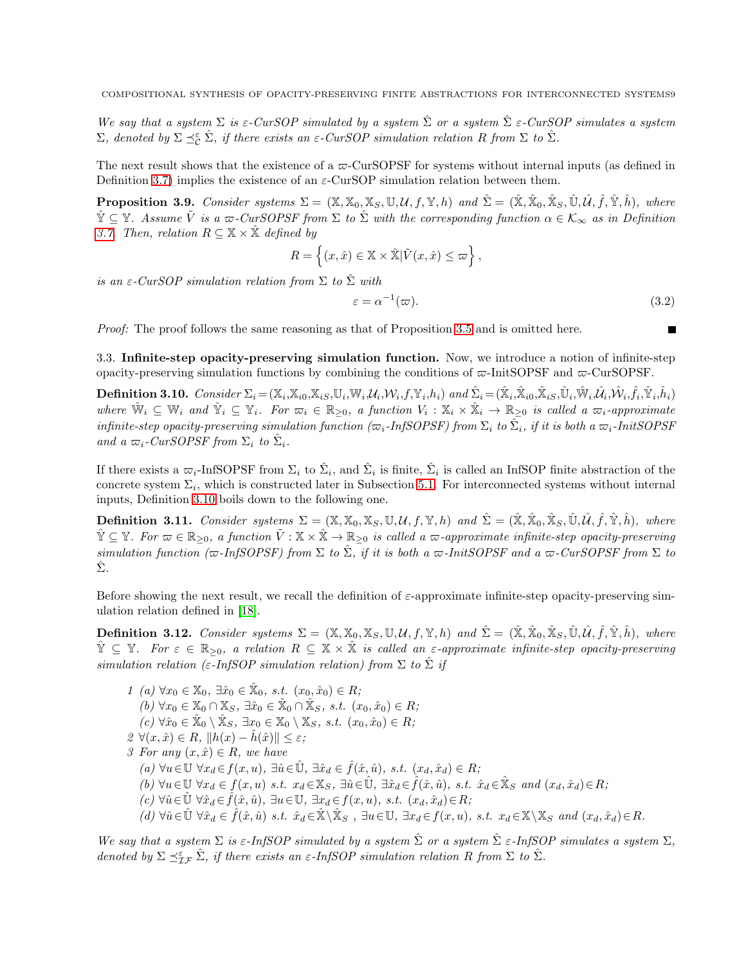We say that a system  $\Sigma$  is  $\varepsilon$ -CurSOP simulated by a system  $\hat{\Sigma}$  or a system  $\hat{\Sigma}$   $\varepsilon$ -CurSOP simulates a system  $\Sigma$ , denoted by  $\Sigma \preceq_{\mathcal{C}}^{\varepsilon} \hat{\Sigma}$ , if there exists an  $\varepsilon$ -CurSOP simulation relation R from  $\Sigma$  to  $\hat{\Sigma}$ .

The next result shows that the existence of a  $\infty$ -CurSOPSF for systems without internal inputs (as defined in Definition [3.7\)](#page-7-1) implies the existence of an  $\varepsilon$ -CurSOP simulation relation between them.

<span id="page-8-2"></span>**Proposition 3.9.** Consider systems  $\Sigma = (\mathbb{X}, \mathbb{X}_0, \mathbb{X}_S, \mathbb{U}, \mathcal{U}, f, \mathbb{Y}, h)$  and  $\hat{\Sigma} = (\hat{\mathbb{X}}, \hat{\mathbb{X}}_0, \hat{\mathbb{X}}_S, \hat{\mathbb{U}}, \hat{\mathcal{U}}, \hat{f}, \hat{\mathbb{Y}}, \hat{h})$ , where  $\hat{\mathbb{Y}} \subseteq \mathbb{Y}$ . Assume  $\tilde{V}$  is a  $\varpi$ -CurSOPSF from  $\Sigma$  to  $\hat{\Sigma}$  with the corresponding function  $\alpha \in \mathcal{K}_{\infty}$  as in Definition [3.7.](#page-7-1) Then, relation  $R \subseteq \mathbb{X} \times \mathbb{X}$  defined by

$$
R = \left\{ (x, \hat{x}) \in \mathbb{X} \times \hat{\mathbb{X}} | \tilde{V}(x, \hat{x}) \leq \varpi \right\},\
$$

is an  $\varepsilon$ -CurSOP simulation relation from  $\Sigma$  to  $\hat{\Sigma}$  with

$$
\varepsilon = \alpha^{-1}(\varpi). \tag{3.2}
$$

Proof: The proof follows the same reasoning as that of Proposition [3.5](#page-6-2) and is omitted here.

3.3. Infinite-step opacity-preserving simulation function. Now, we introduce a notion of infinite-step opacity-preserving simulation functions by combining the conditions of  $\varpi$ -InitSOPSF and  $\varpi$ -CurSOPSF.

<span id="page-8-0"></span>**Definition 3.10.**  $Consider \Sigma_i = (\mathbb{X}_i, \mathbb{X}_{i0}, \mathbb{X}_{iS}, \mathbb{U}_i, \mathbb{W}_i, \mathcal{U}_i, \mathcal{W}_i, f, \mathbb{Y}_i, h_i) \text{ and } \hat{\Sigma}_i = (\hat{\mathbb{X}}_i, \hat{\mathbb{X}}_{i0}, \hat{\mathbb{X}}_{iS}, \hat{\mathbb{U}}_i, \hat{\mathbb{W}}_i, \hat{\mathcal{U}}_i, \hat{\mathbb{W}}_i, \hat{f}_i, \hat{\mathbb{Y}}_i, \hat{h}_i)$ where  $\hat{\mathbb{W}}_i \subseteq \mathbb{W}_i$  and  $\hat{\mathbb{Y}}_i \subseteq \mathbb{Y}_i$ . For  $\varpi_i \in \mathbb{R}_{\geq 0}$ , a function  $V_i : \mathbb{X}_i \times \hat{\mathbb{X}}_i \to \mathbb{R}_{\geq 0}$  is called a  $\varpi_i$ -approximate  $\hat{m}$  infinite-step opacity-preserving simulation function ( $\varpi_i$ -InfSOPSF) from  $\Sigma_i$  to  $\hat{\Sigma}_i$ , if it is both a  $\varpi_i$ -InitSOPSF and a  $\varpi_i$ -CurSOPSF from  $\Sigma_i$  to  $\hat{\Sigma}_i$ .

If there exists a  $\varpi_i$ -InfSOPSF from  $\Sigma_i$  to  $\hat{\Sigma}_i$ , and  $\hat{\Sigma}_i$  is finite,  $\hat{\Sigma}_i$  is called an InfSOP finite abstraction of the concrete system  $\Sigma_i$ , which is constructed later in Subsection [5.1.](#page-11-0) For interconnected systems without internal inputs, Definition [3.10](#page-8-0) boils down to the following one.

<span id="page-8-1"></span>**Definition 3.11.** Consider systems  $\Sigma = (\mathbb{X}, \mathbb{X}_0, \mathbb{X}_S, \mathbb{U}, \mathcal{U}, f, \mathbb{Y}, h)$  and  $\hat{\Sigma} = (\hat{\mathbb{X}}, \hat{\mathbb{X}}_0, \hat{\mathbb{X}}_S, \hat{\mathbb{U}}, \hat{\mathcal{U}}, \hat{f}, \hat{\mathbb{Y}}, \hat{h}),$  where  $\hat{\mathbb{Y}} \subseteq \mathbb{Y}$ . For  $\varpi \in \mathbb{R}_{\geq 0}$ , a function  $\tilde{V}: \mathbb{X} \times \hat{\mathbb{X}} \to \mathbb{R}_{\geq 0}$  is called a  $\varpi$ -approximate infinite-step opacity-preserving simulation function ( $\varpi$ -InfSOPSF) from  $\Sigma$  to  $\hat{\Sigma}$ , if it is both a  $\varpi$ -InitSOPSF and a  $\varpi$ -CurSOPSF from  $\Sigma$  to  $\hat{\Sigma}$ .

Before showing the next result, we recall the definition of  $\varepsilon$ -approximate infinite-step opacity-preserving simulation relation defined in [\[18\]](#page-19-17).

**Definition 3.12.** Consider systems  $\Sigma = (\mathbb{X}, \mathbb{X}_0, \mathbb{X}_S, \mathbb{U}, \mathcal{U}, f, \mathbb{Y}, h)$  and  $\hat{\Sigma} = (\hat{\mathbb{X}}, \hat{\mathbb{X}}_0, \hat{\mathbb{X}}_S, \hat{\mathbb{U}}, \hat{\mathcal{U}}, \hat{f}, \hat{\mathbb{Y}}, \hat{h})$ , where  $\hat{\mathbb{Y}} \subseteq \mathbb{Y}$ . For  $\varepsilon \in \mathbb{R}_{\geq 0}$ , a relation  $R \subseteq \mathbb{X} \times \hat{\mathbb{X}}$  is called an  $\varepsilon$ -approximate infinite-step opacity-preserving simulation relation (ε-InfSOP simulation relation) from  $\Sigma$  to  $\Sigma$  if

1 (a) 
$$
\forall x_0 \in \mathbb{X}_0
$$
,  $\exists \hat{x}_0 \in \hat{\mathbb{X}}_0$ , s.t.  $(x_0, \hat{x}_0) \in R$ ;  
\n(b)  $\forall x_0 \in \mathbb{X}_0 \cap \mathbb{X}_S$ ,  $\exists \hat{x}_0 \in \hat{\mathbb{X}}_0 \cap \hat{\mathbb{X}}_S$ , s.t.  $(x_0, \hat{x}_0) \in R$ ;  
\n(c)  $\forall \hat{x}_0 \in \hat{\mathbb{X}}_0 \setminus \hat{\mathbb{X}}_S$ ,  $\exists x_0 \in \mathbb{X}_0 \setminus \mathbb{X}_S$ , s.t.  $(x_0, \hat{x}_0) \in R$ ;  
\n2  $\forall (x, \hat{x}) \in R$ ,  $||h(x) - \hat{h}(\hat{x})|| \le \varepsilon$ ;  
\n3 For any  $(x, \hat{x}) \in R$ , we have  
\n(a)  $\forall u \in \mathbb{U} \ \forall x_d \in f(x, u)$ ,  $\exists \hat{u} \in \hat{\mathbb{U}}$ ,  $\exists \hat{x}_d \in \hat{f}(\hat{x}, \hat{u})$ , s.t.  $(x_d, \hat{x}_d) \in R$ ;  
\n(b)  $\forall u \in \mathbb{U} \ \forall x_d \in f(x, u)$  s.t.  $x_d \in \mathbb{X}_S$ ,  $\exists \hat{u} \in \hat{\mathbb{U}}$ ,  $\exists \hat{x}_d \in \hat{f}(\hat{x}, \hat{u})$ , s.t.  $\hat{x}_d \in \hat{\mathbb{X}}_S$  and  $(x_d, \hat{x}_d) \in R$ ;  
\n(c)  $\forall \hat{u} \in \hat{\mathbb{U}} \ \forall \hat{x}_d \in \hat{f}(\hat{x}, \hat{u})$ ,  $\exists u \in \mathbb{U}$ ,  $\exists x_d \in f(x, u)$ , s.t.  $(x_d, \hat{x}_d) \in R$ ;  
\n(d)  $\forall \hat{u} \in \hat{\mathbb{U}} \ \forall \hat{x}_d \in \hat{f}(\hat{x}, \hat{u})$  s.t.  $\hat{x}_d \in \hat{\mathbb{X}} \setminus \hat{\mathbb{X}}_S$ 

We say that a system  $\Sigma$  is  $\varepsilon$ -InfSOP simulated by a system  $\hat{\Sigma}$  or a system  $\hat{\Sigma}$   $\varepsilon$ -InfSOP simulates a system  $\Sigma$ , denoted by  $\Sigma \preceq_{\mathcal{I}\mathcal{F}}^{\varepsilon} \hat{\Sigma}$ , if there exists an  $\varepsilon$ -InfSOP simulation relation R from  $\Sigma$  to  $\hat{\Sigma}$ .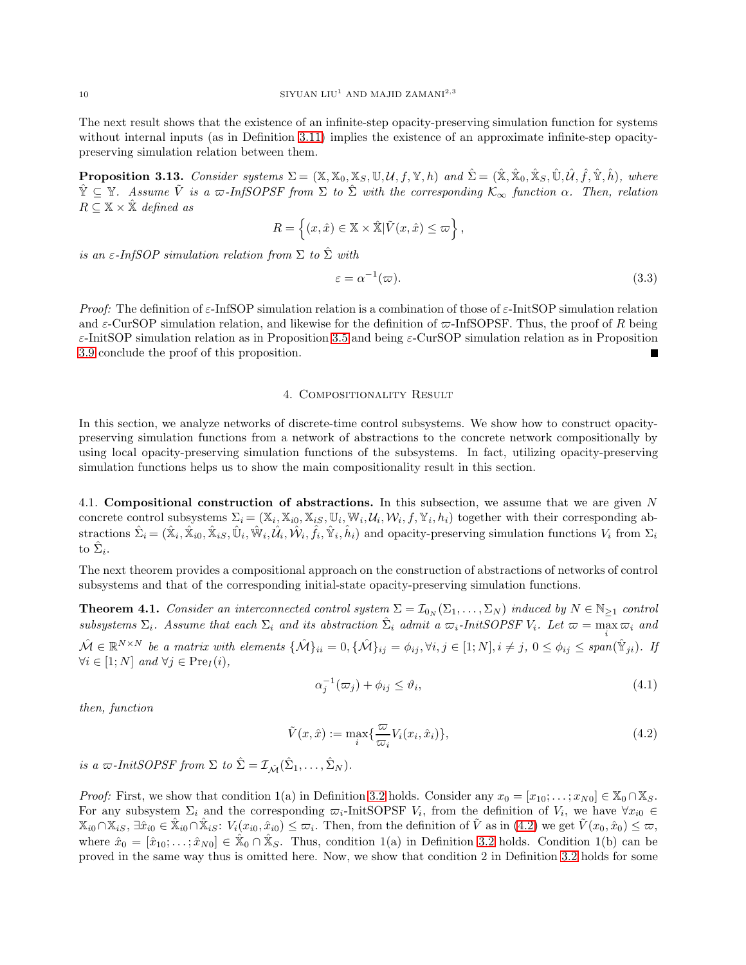The next result shows that the existence of an infinite-step opacity-preserving simulation function for systems without internal inputs (as in Definition [3.11\)](#page-8-1) implies the existence of an approximate infinite-step opacitypreserving simulation relation between them.

**Proposition 3.13.** Consider systems  $\Sigma = (\mathbb{X}, \mathbb{X}_0, \mathbb{X}_S, \mathbb{U}, \mathcal{U}, f, \mathbb{Y}, h)$  and  $\hat{\Sigma} = (\hat{\mathbb{X}}, \hat{\mathbb{X}}_0, \hat{\mathbb{X}}_S, \hat{\mathbb{U}}, \hat{\mathcal{U}}, \hat{f}, \hat{\mathbb{Y}}, \hat{h})$ , where  $\hat{\mathbb{Y}} \subseteq \mathbb{Y}$ . Assume  $\tilde{V}$  is a  $\varpi$ -InfSOPSF from  $\Sigma$  to  $\hat{\Sigma}$  with the corresponding  $\mathcal{K}_{\infty}$  function  $\alpha$ . Then, relation  $R \subseteq \mathbb{X} \times \hat{\mathbb{X}}$  defined as

$$
R = \left\{ (x,\hat x) \in \mathbb{X} \times \hat{\mathbb{X}} | \tilde V(x,\hat x) \leq \varpi \right\},
$$

is an  $\varepsilon$ -InfSOP simulation relation from  $\Sigma$  to  $\hat{\Sigma}$  with

$$
\varepsilon = \alpha^{-1}(\varpi). \tag{3.3}
$$

Proof: The definition of  $\varepsilon$ -InfSOP simulation relation is a combination of those of  $\varepsilon$ -InitSOP simulation relation and  $\varepsilon$ -CurSOP simulation relation, and likewise for the definition of  $\varpi$ -InfSOPSF. Thus, the proof of R being  $\varepsilon$ -InitSOP simulation relation as in Proposition [3.5](#page-6-2) and being  $\varepsilon$ -CurSOP simulation relation as in Proposition [3.9](#page-8-2) conclude the proof of this proposition.

### 4. Compositionality Result

In this section, we analyze networks of discrete-time control subsystems. We show how to construct opacitypreserving simulation functions from a network of abstractions to the concrete network compositionally by using local opacity-preserving simulation functions of the subsystems. In fact, utilizing opacity-preserving simulation functions helps us to show the main compositionality result in this section.

4.1. Compositional construction of abstractions. In this subsection, we assume that we are given N concrete control subsystems  $\Sigma_i = (\mathbb{X}_i, \mathbb{X}_{i0}, \mathbb{X}_{iS}, \mathbb{U}_i, \mathbb{W}_i, \mathcal{U}_i, \mathcal{W}_i, f, \mathbb{Y}_i, h_i)$  together with their corresponding abstractions  $\hat{\Sigma}_i = (\hat{\mathbb{X}}_i, \hat{\mathbb{X}}_{i0}, \hat{\mathbb{X}}_{iS}, \hat{\mathbb{U}}_i, \hat{\mathbb{W}}_i, \hat{\mathcal{U}}_i, \hat{\mathcal{W}}_i, \hat{f}_i, \hat{\mathbb{Y}}_i, \hat{h}_i)$  and opacity-preserving simulation functions  $V_i$  from  $\Sigma_i$ to  $\hat{\Sigma}_i$ .

The next theorem provides a compositional approach on the construction of abstractions of networks of control subsystems and that of the corresponding initial-state opacity-preserving simulation functions.

<span id="page-9-2"></span>**Theorem 4.1.** Consider an interconnected control system  $\Sigma = \mathcal{I}_{0_N}(\Sigma_1, \dots, \Sigma_N)$  induced by  $N \in \mathbb{N}_{\geq 1}$  control subsystems  $\Sigma_i$ . Assume that each  $\Sigma_i$  and its abstraction  $\hat{\Sigma}_i$  admit a  $\varpi_i$ -InitSOPSF  $V_i$ . Let  $\varpi = \max \varpi_i$  and  $\mathcal{M} \in \mathbb{R}^{N \times N}$  be a matrix with elements  $\{\mathcal{M}\}_{ii} = 0, \{\mathcal{M}\}_{ij} = \phi_{ij}, \forall i, j \in [1; N], i \neq j, 0 \leq \phi_{ij} \leq span(\mathcal{\hat{Y}}_{ji})$ . If  $\forall i \in [1; N]$  and  $\forall j \in \text{Pre}_I(i)$ ,

<span id="page-9-1"></span><span id="page-9-0"></span>
$$
\alpha_j^{-1}(\varpi_j) + \phi_{ij} \le \vartheta_i,\tag{4.1}
$$

then, function

$$
\tilde{V}(x,\hat{x}) := \max_{i} \{ \frac{\varpi}{\varpi_i} V_i(x_i, \hat{x}_i) \},\tag{4.2}
$$

is a  $\varpi$ -InitSOPSF from  $\Sigma$  to  $\hat{\Sigma} = \mathcal{I}_{\hat{\mathcal{M}}}(\hat{\Sigma}_1, \dots, \hat{\Sigma}_N)$ .

*Proof:* First, we show that condition 1(a) in Definition [3.2](#page-5-1) holds. Consider any  $x_0 = [x_{10}; \dots; x_{N0}] \in \mathbb{X}_0 \cap \mathbb{X}_S$ . For any subsystem  $\Sigma_i$  and the corresponding  $\varpi_i$ -InitSOPSF  $V_i$ , from the definition of  $V_i$ , we have  $\forall x_{i0} \in$  $\mathbb{X}_{i0} \cap \mathbb{X}_{iS}, \exists \hat{x}_{i0} \in \hat{\mathbb{X}}_{i0} \cap \hat{\mathbb{X}}_{iS}$ :  $V_i(x_{i0}, \hat{x}_{i0}) \leq \varpi_i$ . Then, from the definition of  $\tilde{V}$  as in  $(4.2)$  we get  $\tilde{V}(x_0, \hat{x}_0) \leq \varpi$ , where  $\hat{x}_0 = [\hat{x}_{10}; \dots; \hat{x}_{N0}] \in \hat{X}_0 \cap \hat{X}_S$ . Thus, condition 1(a) in Definition [3.2](#page-5-1) holds. Condition 1(b) can be proved in the same way thus is omitted here. Now, we show that condition 2 in Definition [3.2](#page-5-1) holds for some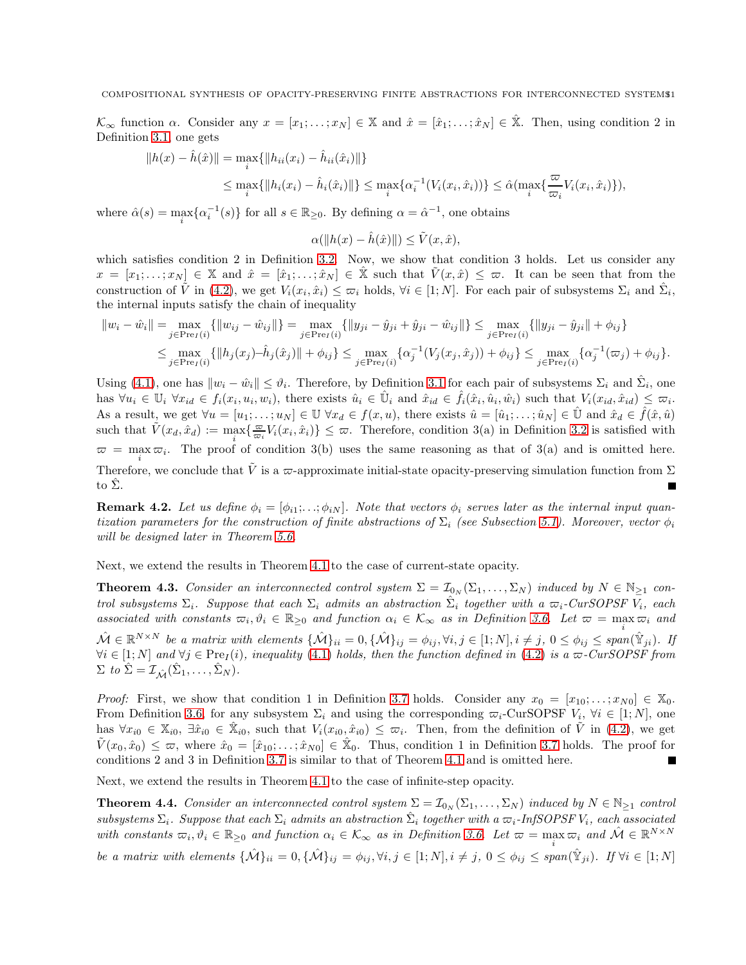$\mathcal{K}_{\infty}$  function  $\alpha$ . Consider any  $x = [x_1; \ldots; x_N] \in \mathbb{X}$  and  $\hat{x} = [\hat{x}_1; \ldots; \hat{x}_N] \in \mathbb{X}$ . Then, using condition 2 in Definition [3.1,](#page-5-0) one gets

$$
||h(x) - \hat{h}(\hat{x})|| = \max_{i} \{ ||h_{ii}(x_i) - \hat{h}_{ii}(\hat{x}_i)|| \}
$$
  

$$
\leq \max_{i} \{ ||h_i(x_i) - \hat{h}_i(\hat{x}_i)|| \} \leq \max_{i} \{ \alpha_i^{-1}(V_i(x_i, \hat{x}_i)) \} \leq \hat{\alpha}(\max_{i} \{ \frac{\varpi}{\varpi_i} V_i(x_i, \hat{x}_i) \}),
$$

where  $\hat{\alpha}(s) = \max_i \{ \alpha_i^{-1}(s) \}$  for all  $s \in \mathbb{R}_{\geq 0}$ . By defining  $\alpha = \hat{\alpha}^{-1}$ , one obtains

$$
\alpha(\|h(x) - \hat{h}(\hat{x})\|) \le \tilde{V}(x, \hat{x}),
$$

which satisfies condition 2 in Definition [3.2.](#page-5-1) Now, we show that condition 3 holds. Let us consider any  $x = [x_1; \ldots; x_N] \in \mathbb{X}$  and  $\hat{x} = [\hat{x}_1; \ldots; \hat{x}_N] \in \hat{\mathbb{X}}$  such that  $\tilde{V}(x, \hat{x}) \leq \varpi$ . It can be seen that from the construction of  $\tilde{V}$  in [\(4.2\)](#page-9-0), we get  $V_i(x_i, \hat{x}_i) \leq \overline{\omega}_i$  holds,  $\forall i \in [1; N]$ . For each pair of subsystems  $\Sigma_i$  and  $\hat{\Sigma}_i$ , the internal inputs satisfy the chain of inequality

$$
||w_i - \hat{w}_i|| = \max_{j \in \text{Pre}_I(i)} \{ ||w_{ij} - \hat{w}_{ij}|| \} = \max_{j \in \text{Pre}_I(i)} \{ ||y_{ji} - \hat{y}_{ji} + \hat{y}_{ji} - \hat{w}_{ij}|| \} \le \max_{j \in \text{Pre}_I(i)} \{ ||y_{ji} - \hat{y}_{ji}|| + \phi_{ij} \} \le \max_{j \in \text{Pre}_I(i)} \{ ||h_j(x_j) - \hat{h}_j(\hat{x}_j)|| + \phi_{ij} \} \le \max_{j \in \text{Pre}_I(i)} \{ \alpha_j^{-1}(V_j(x_j, \hat{x}_j)) + \phi_{ij} \} \le \max_{j \in \text{Pre}_I(i)} \{ \alpha_j^{-1}(\varpi_j) + \phi_{ij} \}.
$$

Using [\(4.1\)](#page-9-1), one has  $||w_i - \hat{w}_i|| \leq \vartheta_i$ . Therefore, by Definition [3.1](#page-5-0) for each pair of subsystems  $\Sigma_i$  and  $\hat{\Sigma}_i$ , one has  $\forall u_i \in \mathbb{U}_i \ \forall x_{id} \in f_i(x_i, u_i, w_i)$ , there exists  $\hat{u}_i \in \hat{\mathbb{U}}_i$  and  $\hat{x}_{id} \in \hat{f}_i(\hat{x}_i, \hat{u}_i, \hat{w}_i)$  such that  $V_i(x_{id}, \hat{x}_{id}) \leq \varpi_i$ . As a result, we get  $\forall u = [u_1; \ldots; u_N] \in \mathbb{U} \ \forall x_d \in f(x, u)$ , there exists  $\hat{u} = [\hat{u}_1; \ldots; \hat{u}_N] \in \hat{\mathbb{U}}$  and  $\hat{x}_d \in \hat{f}(\hat{x}, \hat{u})$ such that  $\tilde{V}(x_d, \hat{x}_d) := \max_i \{\frac{\varpi}{\varpi_i} V_i(x_i, \hat{x}_i)\} \leq \varpi$ . Therefore, condition 3(a) in Definition [3.2](#page-5-1) is satisfied with  $\bar{\omega} = \max_i \overline{\omega}_i$ . The proof of condition 3(b) uses the same reasoning as that of 3(a) and is omitted here. Therefore, we conclude that  $\tilde{V}$  is a  $\varpi$ -approximate initial-state opacity-preserving simulation function from  $\Sigma$ to  $\Sigma$ .

**Remark 4.2.** Let us define  $\phi_i = [\phi_{i1}; \ldots; \phi_{iN}]$ . Note that vectors  $\phi_i$  serves later as the internal input quantization parameters for the construction of finite abstractions of  $\Sigma_i$  (see Subsection [5.1\)](#page-11-0). Moreover, vector  $\phi_i$ will be designed later in Theorem [5.6.](#page-14-0)

Next, we extend the results in Theorem [4.1](#page-9-2) to the case of current-state opacity.

<span id="page-10-0"></span>**Theorem 4.3.** Consider an interconnected control system  $\Sigma = \mathcal{I}_{0_N}(\Sigma_1, \ldots, \Sigma_N)$  induced by  $N \in \mathbb{N}_{\geq 1}$  control subsystems  $\Sigma_i$ . Suppose that each  $\Sigma_i$  admits an abstraction  $\hat{\Sigma}_i$  together with a  $\varpi_i$ -CurSOPSF  $V_i$ , each associated with constants  $\varpi_i, \vartheta_i \in \mathbb{R}_{\geq 0}$  and function  $\alpha_i \in \mathcal{K}_{\infty}$  as in Definition [3.6.](#page-7-0) Let  $\varpi = \max_i \varpi_i$  and  $\hat{\mathcal{M}} \in \mathbb{R}^{N \times N}$  be a matrix with elements  $\{\hat{\mathcal{M}}\}_{ii} = 0, \{\hat{\mathcal{M}}\}_{ij} = \phi_{ij}, \forall i, j \in [1; N], i \neq j, 0 \leq \phi_{ij} \leq span(\hat{Y}_{ji})$ . If  $\forall i \in [1; N]$  and  $\forall j \in \text{Pre}_I(i)$ , inequality [\(4.1\)](#page-9-1) holds, then the function defined in [\(4.2\)](#page-9-0) is a  $\varpi$ -CurSOPSF from  $\Sigma$  to  $\hat{\Sigma} = \mathcal{I}_{\hat{\mathcal{M}}}(\hat{\Sigma}_1, \dots, \hat{\Sigma}_N).$ 

*Proof:* First, we show that condition 1 in Definition [3.7](#page-7-1) holds. Consider any  $x_0 = [x_{10}; \dots; x_{N0}] \in \mathbb{X}_0$ . From Definition [3.6,](#page-7-0) for any subsystem  $\Sigma_i$  and using the corresponding  $\varpi_i$ -CurSOPSF  $V_i$ ,  $\forall i \in [1; N]$ , one has  $\forall x_{i0} \in \mathbb{X}_{i0}$ ,  $\exists \hat{x}_{i0} \in \hat{\mathbb{X}}_{i0}$ , such that  $V_i(x_{i0}, \hat{x}_{i0}) \leq \varpi_i$ . Then, from the definition of  $\tilde{V}$  in [\(4.2\)](#page-9-0), we get  $\tilde{V}(x_0, \hat{x}_0) \leq \varpi$ , where  $\hat{x}_0 = [\hat{x}_{10}; \ldots; \hat{x}_{N0}] \in \hat{X}_0$ . Thus, condition 1 in Definition [3.7](#page-7-1) holds. The proof for conditions 2 and 3 in Definition [3.7](#page-7-1) is similar to that of Theorem [4.1](#page-9-2) and is omitted here. Г

Next, we extend the results in Theorem [4.1](#page-9-2) to the case of infinite-step opacity.

**Theorem 4.4.** Consider an interconnected control system  $\Sigma = \mathcal{I}_{0_N}(\Sigma_1, \dots, \Sigma_N)$  induced by  $N \in \mathbb{N}_{\geq 1}$  control subsystems  $\Sigma_i$ . Suppose that each  $\Sigma_i$  admits an abstraction  $\hat{\Sigma}_i$  together with a  $\varpi_i$ -InfSOPSF  $V_i$ , each associated with constants  $\varpi_i, \vartheta_i \in \mathbb{R}_{\geq 0}$  and function  $\alpha_i \in \mathcal{K}_{\infty}$  as in Definition [3.6.](#page-7-0) Let  $\varpi = \max_i \varpi_i$  and  $\hat{\mathcal{M}} \in \mathbb{R}^{N \times N}$ 

be a matrix with elements  $\{\hat{\mathcal{M}}\}_{ii} = 0, \{\hat{\mathcal{M}}\}_{ij} = \phi_{ij}, \forall i, j \in [1; N], i \neq j, 0 \leq \phi_{ij} \leq span(\hat{Y}_{ji})$ . If  $\forall i \in [1; N]$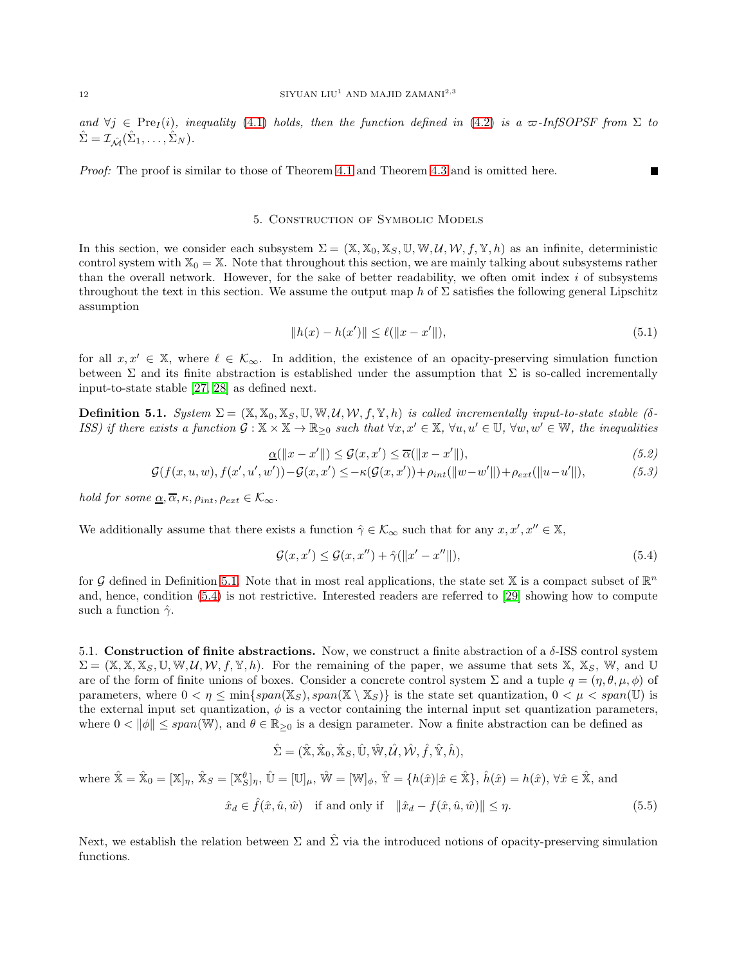### 12 SIYUAN  $\mathrm{LIU^1}$  AND MAJID ZAMANI $^{2,3}$

and  $\forall j \in \text{Pre}_I(i)$ , inequality [\(4.1\)](#page-9-1) holds, then the function defined in [\(4.2\)](#page-9-0) is a  $\varpi$ -InfSOPSF from  $\Sigma$  to  $\hat{\Sigma} = \mathcal{I}_{\hat{\mathcal{M}}}(\hat{\Sigma}_1, \dots, \hat{\Sigma}_N).$ 

Proof: The proof is similar to those of Theorem [4.1](#page-9-2) and Theorem [4.3](#page-10-0) and is omitted here.

# 5. Construction of Symbolic Models

In this section, we consider each subsystem  $\Sigma = (\mathbb{X}, \mathbb{X}_0, \mathbb{X}_S, \mathbb{U}, \mathbb{W}, \mathcal{U}, \mathcal{W}, f, \mathbb{Y}, h)$  as an infinite, deterministic control system with  $X_0 = X$ . Note that throughout this section, we are mainly talking about subsystems rather than the overall network. However, for the sake of better readability, we often omit index  $i$  of subsystems throughout the text in this section. We assume the output map h of  $\Sigma$  satisfies the following general Lipschitz assumption

$$
||h(x) - h(x')|| \le \ell(||x - x'||),\tag{5.1}
$$

<span id="page-11-5"></span><span id="page-11-4"></span><span id="page-11-3"></span>г

for all  $x, x' \in \mathbb{X}$ , where  $\ell \in \mathcal{K}_{\infty}$ . In addition, the existence of an opacity-preserving simulation function between  $\Sigma$  and its finite abstraction is established under the assumption that  $\Sigma$  is so-called incrementally input-to-state stable [\[27,](#page-20-4) [28\]](#page-20-5) as defined next.

<span id="page-11-1"></span>**Definition 5.1.** System  $\Sigma = (\mathbb{X}, \mathbb{X}_0, \mathbb{X}_S, \mathbb{U}, \mathbb{W}, \mathcal{U}, \mathcal{W}, f, \mathbb{Y}, h)$  is called incrementally input-to-state stable (δ-ISS) if there exists a function  $\mathcal{G}: \mathbb{X} \times \mathbb{X} \to \mathbb{R}_{\geq 0}$  such that  $\forall x, x' \in \mathbb{X}$ ,  $\forall u, u' \in \mathbb{U}$ ,  $\forall w, w' \in \mathbb{W}$ , the inequalities

$$
\underline{\alpha}(\|x - x'\|) \le \mathcal{G}(x, x') \le \overline{\alpha}(\|x - x'\|),\tag{5.2}
$$

$$
\mathcal{G}(f(x, u, w), f(x', u', w')) - \mathcal{G}(x, x') \le -\kappa(\mathcal{G}(x, x')) + \rho_{int}(\|w - w'\|) + \rho_{ext}(\|u - u'\|),
$$
\n(5.3)

hold for some  $\alpha, \overline{\alpha}, \kappa, \rho_{int}, \rho_{ext} \in \mathcal{K}_{\infty}$ .

We additionally assume that there exists a function  $\hat{\gamma} \in \mathcal{K}_{\infty}$  such that for any  $x, x', x'' \in \mathbb{X}$ ,

<span id="page-11-2"></span>
$$
\mathcal{G}(x, x') \le \mathcal{G}(x, x'') + \hat{\gamma}(\|x' - x''\|),\tag{5.4}
$$

for G defined in Definition [5.1.](#page-11-1) Note that in most real applications, the state set X is a compact subset of  $\mathbb{R}^n$ and, hence, condition [\(5.4\)](#page-11-2) is not restrictive. Interested readers are referred to [\[29\]](#page-20-6) showing how to compute such a function  $\hat{\gamma}$ .

<span id="page-11-0"></span>5.1. Construction of finite abstractions. Now, we construct a finite abstraction of a  $\delta$ -ISS control system  $\Sigma = (\mathbb{X}, \mathbb{X}, \mathbb{X}_S, \mathbb{U}, \mathbb{W}, \mathcal{U}, \mathcal{W}, f, \mathbb{Y}, h)$ . For the remaining of the paper, we assume that sets  $\mathbb{X}, \mathbb{X}_S, \mathbb{W}$ , and U are of the form of finite unions of boxes. Consider a concrete control system  $\Sigma$  and a tuple  $q = (\eta, \theta, \mu, \phi)$  of parameters, where  $0 < \eta \le \min\{span(\mathbb{X}_{S}), span(\mathbb{X} \setminus \mathbb{X}_{S})\}$  is the state set quantization,  $0 < \mu < span(\mathbb{U})$  is the external input set quantization,  $\phi$  is a vector containing the internal input set quantization parameters, where  $0 < ||\phi|| \leq span(\mathbb{W})$ , and  $\theta \in \mathbb{R}_{\geq 0}$  is a design parameter. Now a finite abstraction can be defined as

$$
\hat{\Sigma}=(\hat{\mathbb{X}},\hat{\mathbb{X}}_0,\hat{\mathbb{X}}_S,\hat{\mathbb{U}},\hat{\mathbb{W}},\mathcal{\hat{U}},\mathcal{\hat{W}},\hat{f},\hat{\mathbb{Y}},\hat{h}),
$$

where 
$$
\hat{\mathbf{X}} = \hat{\mathbf{X}}_0 = [\mathbb{X}]_\eta
$$
,  $\hat{\mathbf{X}}_S = [\mathbb{X}_S^\theta]_\eta$ ,  $\hat{\mathbf{U}} = [\mathbb{U}]_\mu$ ,  $\hat{\mathbf{W}} = [\mathbb{W}]_\phi$ ,  $\hat{\mathbf{Y}} = \{h(\hat{x}) | \hat{x} \in \hat{\mathbf{X}}\}$ ,  $\hat{h}(\hat{x}) = h(\hat{x})$ ,  $\forall \hat{x} \in \hat{\mathbf{X}}$ , and  
 $\hat{x}_d \in \hat{f}(\hat{x}, \hat{u}, \hat{w})$  if and only if  $||\hat{x}_d - f(\hat{x}, \hat{u}, \hat{w})|| \leq \eta$ . (5.5)

Next, we establish the relation between  $\Sigma$  and  $\hat{\Sigma}$  via the introduced notions of opacity-preserving simulation functions.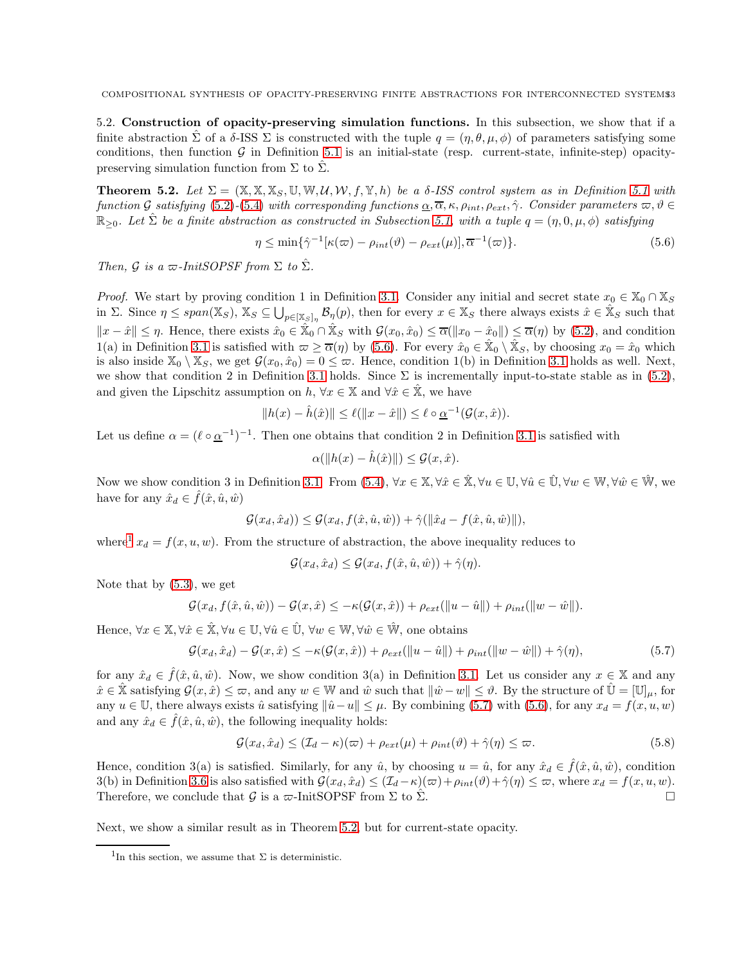5.2. Construction of opacity-preserving simulation functions. In this subsection, we show that if a finite abstraction  $\Sigma$  of a  $\delta$ -ISS  $\Sigma$  is constructed with the tuple  $q = (\eta, \theta, \mu, \phi)$  of parameters satisfying some conditions, then function  $\mathcal G$  in Definition [5.1](#page-11-1) is an initial-state (resp. current-state, infinite-step) opacitypreserving simulation function from  $\Sigma$  to  $\hat{\Sigma}$ .

<span id="page-12-3"></span>**Theorem 5.2.** Let  $\Sigma = (\mathbb{X}, \mathbb{X}, \mathbb{X}_{S}, \mathbb{U}, \mathbb{W}, \mathcal{U}, \mathcal{W}, f, \mathbb{Y}, h)$  be a  $\delta$ -ISS control system as in Definition [5.1](#page-11-1) with function G satisfying [\(5.2\)](#page-11-3)-[\(5.4\)](#page-11-2) with corresponding functions  $\underline{\alpha}, \overline{\alpha}, \kappa, \rho_{int}, \rho_{ext}, \hat{\gamma}$ . Consider parameters  $\varpi, \vartheta \in$  $\mathbb{R}_{\geq 0}$ . Let  $\hat{\Sigma}$  be a finite abstraction as constructed in Subsection [5.1,](#page-11-0) with a tuple  $q = (\eta, 0, \mu, \phi)$  satisfying

<span id="page-12-0"></span>
$$
\eta \le \min\{\hat{\gamma}^{-1}[\kappa(\varpi) - \rho_{int}(\vartheta) - \rho_{ext}(\mu)], \overline{\alpha}^{-1}(\varpi)\}.
$$
\n(5.6)

Then, G is a  $\varpi$ -InitSOPSF from  $\Sigma$  to  $\hat{\Sigma}$ .

*Proof.* We start by proving condition 1 in Definition [3.1.](#page-5-0) Consider any initial and secret state  $x_0 \in \mathbb{X}_0 \cap \mathbb{X}_S$ in  $\Sigma$ . Since  $\eta \leq span(\mathbb{X}_S)$ ,  $\mathbb{X}_S \subseteq \bigcup_{p \in [\mathbb{X}_S]_\eta} \mathcal{B}_{\eta}(p)$ , then for every  $x \in \mathbb{X}_S$  there always exists  $\hat{x} \in \mathbb{X}_S$  such that  $||x - \hat{x}|| \leq \eta$ . Hence, there exists  $\hat{x}_0 \in \hat{X}_0 \cap \hat{X}_S$  with  $\mathcal{G}(x_0, \hat{x}_0) \leq \overline{\alpha}(||x_0 - \hat{x}_0||) \leq \overline{\alpha}(\eta)$  by [\(5.2\)](#page-11-3), and condition 1(a) in Definition [3.1](#page-5-0) is satisfied with  $\omega \geq \overline{\alpha}(\eta)$  by [\(5.6\)](#page-12-0). For every  $\hat{x}_0 \in \hat{X}_0 \setminus \hat{X}_S$ , by choosing  $x_0 = \hat{x}_0$  which is also inside  $\mathbb{X}_0 \setminus \mathbb{X}_S$ , we get  $\mathcal{G}(x_0, \hat{x}_0) = 0 \leq \varpi$ . Hence, condition 1(b) in Definition [3.1](#page-5-0) holds as well. Next, we show that condition 2 in Definition [3.1](#page-5-0) holds. Since  $\Sigma$  is incrementally input-to-state stable as in [\(5.2\)](#page-11-3), and given the Lipschitz assumption on h,  $\forall x \in \mathbb{X}$  and  $\forall \hat{x} \in \mathbb{X}$ , we have

$$
||h(x) - \hat{h}(\hat{x})|| \le \ell(||x - \hat{x}||) \le \ell \circ \underline{\alpha}^{-1}(\mathcal{G}(x, \hat{x})).
$$

Let us define  $\alpha = (\ell \circ \underline{\alpha}^{-1})^{-1}$ . Then one obtains that condition 2 in Definition [3.1](#page-5-0) is satisfied with

$$
\alpha(\|h(x) - \hat{h}(\hat{x})\|) \le \mathcal{G}(x, \hat{x}).
$$

Now we show condition 3 in Definition [3.1.](#page-5-0) From [\(5.4\)](#page-11-2),  $\forall x \in \mathbb{X}, \forall \hat{x} \in \mathbb{\hat{X}}, \forall u \in \mathbb{U}, \forall \hat{u} \in \mathbb{U}, \forall w \in \mathbb{W}, \forall \hat{w} \in \mathbb{\hat{W}},$  we have for any  $\hat{x}_d \in \hat{f}(\hat{x}, \hat{u}, \hat{w})$ 

$$
\mathcal{G}(x_d, \hat{x}_d)) \leq \mathcal{G}(x_d, f(\hat{x}, \hat{u}, \hat{w})) + \hat{\gamma}(\|\hat{x}_d - f(\hat{x}, \hat{u}, \hat{w})\|),
$$

where<sup>[1](#page-12-1)</sup>  $x_d = f(x, u, w)$ . From the structure of abstraction, the above inequality reduces to

<span id="page-12-2"></span>
$$
\mathcal{G}(x_d, \hat{x}_d) \leq \mathcal{G}(x_d, f(\hat{x}, \hat{u}, \hat{w})) + \hat{\gamma}(\eta).
$$

Note that by [\(5.3\)](#page-11-4), we get

$$
\mathcal{G}(x_d, f(\hat{x}, \hat{u}, \hat{w})) - \mathcal{G}(x, \hat{x}) \leq -\kappa(\mathcal{G}(x, \hat{x})) + \rho_{ext}(\|u - \hat{u}\|) + \rho_{int}(\|w - \hat{w}\|).
$$

Hence,  $\forall x \in \mathbb{X}, \forall \hat{x} \in \mathbb{\hat{X}}, \forall u \in \mathbb{U}, \forall \hat{u} \in \mathbb{\hat{U}}, \forall w \in \mathbb{W}, \forall \hat{w} \in \mathbb{\hat{W}}, \text{ one obtains}$ 

$$
\mathcal{G}(x_d, \hat{x}_d) - \mathcal{G}(x, \hat{x}) \le -\kappa(\mathcal{G}(x, \hat{x})) + \rho_{ext}(\|u - \hat{u}\|) + \rho_{int}(\|w - \hat{w}\|) + \hat{\gamma}(\eta),\tag{5.7}
$$

for any  $\hat{x}_d \in \hat{f}(\hat{x}, \hat{u}, \hat{w})$ . Now, we show condition 3(a) in Definition [3.1.](#page-5-0) Let us consider any  $x \in \mathbb{X}$  and any  $\hat{x} \in \hat{\mathbb{X}}$  satisfying  $\mathcal{G}(x, \hat{x}) \leq \varpi$ , and any  $w \in \mathbb{W}$  and  $\hat{w}$  such that  $\|\hat{w} - w\| \leq \vartheta$ . By the structure of  $\hat{\mathbb{U}} = [\mathbb{U}]_u$ , for any  $u \in \mathbb{U}$ , there always exists  $\hat{u}$  satisfying  $\|\hat{u}-u\| \leq \mu$ . By combining [\(5.7\)](#page-12-2) with [\(5.6\)](#page-12-0), for any  $x_d = f(x, u, w)$ and any  $\hat{x}_d \in \hat{f}(\hat{x}, \hat{u}, \hat{w})$ , the following inequality holds:

$$
\mathcal{G}(x_d, \hat{x}_d) \le (\mathcal{I}_d - \kappa)(\varpi) + \rho_{ext}(\mu) + \rho_{int}(\vartheta) + \hat{\gamma}(\eta) \le \varpi. \tag{5.8}
$$

Hence, condition 3(a) is satisfied. Similarly, for any  $\hat{u}$ , by choosing  $u = \hat{u}$ , for any  $\hat{x}_d \in \hat{f}(\hat{x}, \hat{u}, \hat{w})$ , condition 3(b) in Definition [3.6](#page-7-0) is also satisfied with  $\mathcal{G}(x_d, \hat{x}_d) \leq (\mathcal{I}_d - \kappa)(\varpi) + \rho_{int}(\vartheta) + \hat{\gamma}(\eta) \leq \varpi$ , where  $x_d = f(x, u, w)$ . Therefore, we conclude that G is a  $\varpi$ -InitSOPSF from  $\Sigma$  to  $\hat{\Sigma}$ .

Next, we show a similar result as in Theorem [5.2,](#page-12-3) but for current-state opacity.

<span id="page-12-1"></span><sup>&</sup>lt;sup>1</sup>In this section, we assume that  $\Sigma$  is deterministic.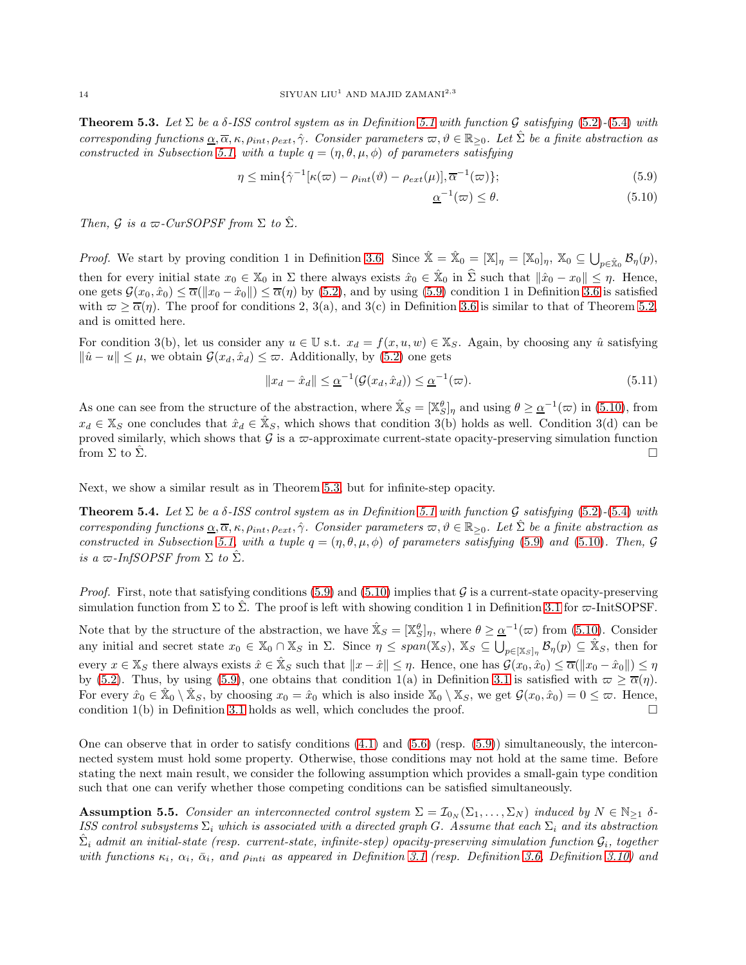<span id="page-13-2"></span>**Theorem 5.3.** Let  $\Sigma$  be a  $\delta$ -ISS control system as in Definition [5.1](#page-11-1) with function G satisfying [\(5.2\)](#page-11-3)-[\(5.4\)](#page-11-2) with corresponding functions  $\underline{\alpha}, \overline{\alpha}, \kappa, \rho_{int}, \rho_{ext}, \hat{\gamma}$ . Consider parameters  $\varpi, \vartheta \in \mathbb{R}_{\geq 0}$ . Let  $\Sigma$  be a finite abstraction as constructed in Subsection [5.1,](#page-11-0) with a tuple  $q = (\eta, \theta, \mu, \phi)$  of parameters satisfying

$$
\eta \le \min\{\hat{\gamma}^{-1}[\kappa(\varpi) - \rho_{int}(\vartheta) - \rho_{ext}(\mu)], \overline{\alpha}^{-1}(\varpi)\};\tag{5.9}
$$

<span id="page-13-1"></span><span id="page-13-0"></span>
$$
\underline{\alpha}^{-1}(\varpi) \le \theta. \tag{5.10}
$$

Then, G is a  $\varpi$ -CurSOPSF from  $\Sigma$  to  $\hat{\Sigma}$ .

*Proof.* We start by proving condition 1 in Definition [3.6.](#page-7-0) Since  $\hat{\mathbb{X}} = \hat{\mathbb{X}}_0 = [\mathbb{X}]_\eta = [\mathbb{X}_0]_\eta$ ,  $\mathbb{X}_0 \subseteq \bigcup_{p \in \hat{\mathbb{X}}_0} \mathcal{B}_\eta(p)$ , then for every initial state  $x_0 \in \mathbb{X}_0$  in  $\Sigma$  there always exists  $\hat{x}_0 \in \hat{\mathbb{X}}_0$  in  $\hat{\Sigma}$  such that  $\|\hat{x}_0 - x_0\| \leq \eta$ . Hence, one gets  $\mathcal{G}(x_0, \hat{x}_0) \leq \overline{\alpha}(\Vert x_0 - \hat{x}_0 \Vert) \leq \overline{\alpha}(\eta)$  by [\(5.2\)](#page-11-3), and by using [\(5.9\)](#page-13-0) condition 1 in Definition [3.6](#page-7-0) is satisfied with  $\omega \ge \overline{\alpha}(\eta)$ . The proof for conditions 2, 3(a), and 3(c) in Definition [3.6](#page-7-0) is similar to that of Theorem [5.2,](#page-12-3) and is omitted here.

For condition 3(b), let us consider any  $u \in \mathbb{U}$  s.t.  $x_d = f(x, u, w) \in \mathbb{X}_S$ . Again, by choosing any  $\hat{u}$  satisfying  $\|\hat{u} - u\| \leq \mu$ , we obtain  $\mathcal{G}(x_d, \hat{x}_d) \leq \varpi$ . Additionally, by [\(5.2\)](#page-11-3) one gets

$$
||x_d - \hat{x}_d|| \leq \underline{\alpha}^{-1}(\mathcal{G}(x_d, \hat{x}_d)) \leq \underline{\alpha}^{-1}(\varpi). \tag{5.11}
$$

As one can see from the structure of the abstraction, where  $\mathbb{X}_S = [\mathbb{X}_S^{\theta}]_\eta$  and using  $\theta \geq \underline{\alpha}^{-1}(\varpi)$  in [\(5.10\)](#page-13-1), from  $x_d \in \mathbb{X}_S$  one concludes that  $\hat{x}_d \in \hat{\mathbb{X}}_S$ , which shows that condition 3(b) holds as well. Condition 3(d) can be proved similarly, which shows that  $\mathcal G$  is a  $\varpi$ -approximate current-state opacity-preserving simulation function from  $\Sigma$  to  $\hat{\Sigma}$ .

Next, we show a similar result as in Theorem [5.3,](#page-13-2) but for infinite-step opacity.

**Theorem 5.4.** Let  $\Sigma$  be a  $\delta$ -ISS control system as in Definition [5.1](#page-11-1) with function G satisfying [\(5.2\)](#page-11-3)-[\(5.4\)](#page-11-2) with corresponding functions  $\underline{\alpha}, \overline{\alpha}, \kappa, \rho_{int}, \rho_{ext}, \hat{\gamma}$ . Consider parameters  $\varpi, \vartheta \in \mathbb{R}_{\geq 0}$ . Let  $\hat{\Sigma}$  be a finite abstraction as constructed in Subsection [5.1,](#page-11-0) with a tuple  $q = (\eta, \theta, \mu, \phi)$  of parameters satisfying [\(5.9\)](#page-13-0) and [\(5.10\)](#page-13-1). Then, G is a  $\varpi$ -InfSOPSF from  $\Sigma$  to  $\hat{\Sigma}$ .

*Proof.* First, note that satisfying conditions [\(5.9\)](#page-13-0) and [\(5.10\)](#page-13-1) implies that  $\mathcal G$  is a current-state opacity-preserving simulation function from  $\Sigma$  to  $\Sigma$ . The proof is left with showing condition 1 in Definition [3.1](#page-5-0) for  $\varpi$ -InitSOPSF.

Note that by the structure of the abstraction, we have  $\mathbb{X}_S = [\mathbb{X}_S^{\theta}]_\eta$ , where  $\theta \geq \underline{\alpha}^{-1}(\varpi)$  from [\(5.10\)](#page-13-1). Consider any initial and secret state  $x_0 \in \mathbb{X}_0 \cap \mathbb{X}_S$  in  $\Sigma$ . Since  $\eta \leq span(\mathbb{X}_S)$ ,  $\mathbb{X}_S \subseteq \bigcup_{p \in [\mathbb{X}_S]_{\eta}} \mathcal{B}_{\eta}(p) \subseteq \hat{\mathbb{X}}_S$ , then for every  $x \in \mathbb{X}_S$  there always exists  $\hat{x} \in \mathbb{\hat{X}}_S$  such that  $||x - \hat{x}|| \leq \eta$ . Hence, one has  $\mathcal{G}(x_0, \hat{x}_0) \leq \overline{\alpha}(||x_0 - \hat{x}_0||) \leq \eta$ by [\(5.2\)](#page-11-3). Thus, by using [\(5.9\)](#page-13-0), one obtains that condition 1(a) in Definition [3.1](#page-5-0) is satisfied with  $\varpi \ge \overline{\alpha}(\eta)$ . For every  $\hat{x}_0 \in \hat{\mathbb{X}}_0 \setminus \hat{\mathbb{X}}_S$ , by choosing  $x_0 = \hat{x}_0$  which is also inside  $\mathbb{X}_0 \setminus \mathbb{X}_S$ , we get  $\mathcal{G}(x_0, \hat{x}_0) = 0 \leq \varpi$ . Hence, condition 1(b) in Definition [3.1](#page-5-0) holds as well, which concludes the proof.  $\square$ 

One can observe that in order to satisfy conditions  $(4.1)$  and  $(5.6)$  (resp.  $(5.9)$ ) simultaneously, the interconnected system must hold some property. Otherwise, those conditions may not hold at the same time. Before stating the next main result, we consider the following assumption which provides a small-gain type condition such that one can verify whether those competing conditions can be satisfied simultaneously.

<span id="page-13-3"></span>**Assumption 5.5.** Consider an interconnected control system  $\Sigma = \mathcal{I}_{0_N}(\Sigma_1, \dots, \Sigma_N)$  induced by  $N \in \mathbb{N}_{\geq 1}$   $\delta$ -ISS control subsystems  $\Sigma_i$  which is associated with a directed graph G. Assume that each  $\Sigma_i$  and its abstraction  $\hat{\Sigma}_i$  admit an initial-state (resp. current-state, infinite-step) opacity-preserving simulation function  $\mathcal{G}_i$ , together with functions  $\kappa_i$ ,  $\alpha_i$ ,  $\bar{\alpha}_i$ , and  $\rho_{inti}$  as appeared in Definition [3.1](#page-5-0) (resp. Definition [3.6,](#page-7-0) Definition [3.10\)](#page-8-0) and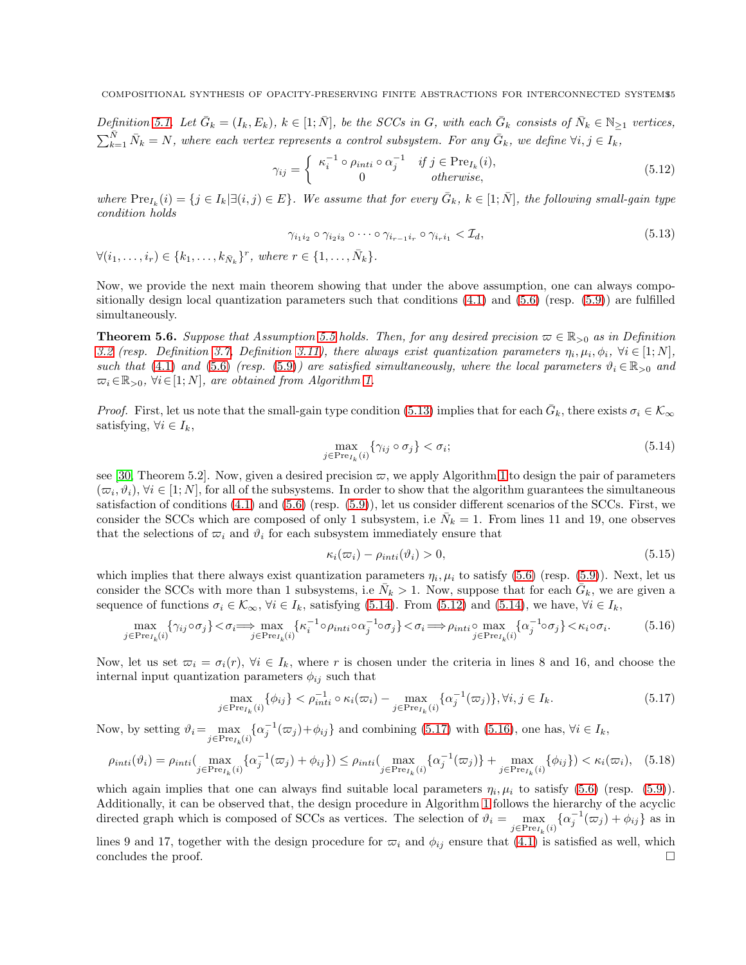Definition [5.1.](#page-11-1) Let  $\bar{G}_k = (I_k, E_k)$ ,  $k \in [1; \bar{N}]$ , be the SCCs in G, with each  $\bar{G}_k$  consists of  $\bar{N}_k \in \mathbb{N}_{\geq 1}$  vertices,  $\sum_{k=1}^{\bar{N}} \bar{N}_k = N$ , where each vertex represents a control subsystem. For any  $\bar{G}_k$ , we define  $\forall i, j \in I_k$ ,

$$
\gamma_{ij} = \begin{cases} \kappa_i^{-1} \circ \rho_{inti} \circ \alpha_j^{-1} & \text{if } j \in \text{Pre}_{I_k}(i), \\ 0 & \text{otherwise,} \end{cases}
$$
\n(5.12)

where  $\text{Pre}_{I_k}(i) = \{j \in I_k | \exists (i,j) \in E\}$ . We assume that for every  $\bar{G}_k$ ,  $k \in [1; \bar{N}]$ , the following small-gain type condition holds

<span id="page-14-3"></span><span id="page-14-1"></span>
$$
\gamma_{i_1 i_2} \circ \gamma_{i_2 i_3} \circ \cdots \circ \gamma_{i_{r-1} i_r} \circ \gamma_{i_r i_1} < \mathcal{I}_d,\tag{5.13}
$$

$$
\forall (i_1,\ldots,i_r)\in \{k_1,\ldots,k_{\bar{N}_k}\}^r, where r\in \{1,\ldots,\bar{N}_k\}.
$$

Now, we provide the next main theorem showing that under the above assumption, one can always compositionally design local quantization parameters such that conditions  $(4.1)$  and  $(5.6)$  (resp.  $(5.9)$ ) are fulfilled simultaneously.

<span id="page-14-0"></span>**Theorem 5.6.** Suppose that Assumption [5.5](#page-13-3) holds. Then, for any desired precision  $\varpi \in \mathbb{R}_{\geq 0}$  as in Definition [3.2](#page-5-1) (resp. Definition [3.7,](#page-7-1) Definition [3.11\)](#page-8-1), there always exist quantization parameters  $\eta_i, \mu_i, \phi_i, \forall i \in [1; N]$ , such that [\(4.1\)](#page-9-1) and [\(5.6\)](#page-12-0) (resp. [\(5.9\)](#page-13-0)) are satisfied simultaneously, where the local parameters  $\vartheta_i \in \mathbb{R}_{>0}$  and  $\overline{\omega}_i \in \mathbb{R}_{>0}, \forall i \in [1; N]$ , are obtained from Algorithm [1.](#page-15-0)

*Proof.* First, let us note that the small-gain type condition [\(5.13\)](#page-14-1) implies that for each  $\bar{G}_k$ , there exists  $\sigma_i \in \mathcal{K}_{\infty}$ satisfying,  $\forall i \in I_k$ ,

<span id="page-14-2"></span>
$$
\max_{j \in \text{Pre}_{I_k}(i)} \{ \gamma_{ij} \circ \sigma_j \} < \sigma_i; \tag{5.14}
$$

see [\[30,](#page-20-7) Theorem 5.2]. Now, given a desired precision  $\varpi$ , we apply Algorithm [1](#page-15-0) to design the pair of parameters  $(\varpi_i, \vartheta_i), \forall i \in [1; N],$  for all of the subsystems. In order to show that the algorithm guarantees the simultaneous satisfaction of conditions [\(4.1\)](#page-9-1) and [\(5.6\)](#page-12-0) (resp. [\(5.9\)](#page-13-0)), let us consider different scenarios of the SCCs. First, we consider the SCCs which are composed of only 1 subsystem, i.e  $\bar{N}_k = 1$ . From lines 11 and 19, one observes that the selections of  $\varpi_i$  and  $\vartheta_i$  for each subsystem immediately ensure that

<span id="page-14-5"></span><span id="page-14-4"></span>
$$
\kappa_i(\varpi_i) - \rho_{inti}(\vartheta_i) > 0,\tag{5.15}
$$

which implies that there always exist quantization parameters  $\eta_i, \mu_i$  to satisfy [\(5.6\)](#page-12-0) (resp. [\(5.9\)](#page-13-0)). Next, let us consider the SCCs with more than 1 subsystems, i.e  $\bar{N}_k > 1$ . Now, suppose that for each  $\bar{G}_k$ , we are given a sequence of functions  $\sigma_i \in \mathcal{K}_{\infty}$ ,  $\forall i \in I_k$ , satisfying [\(5.14\)](#page-14-2). From [\(5.12\)](#page-14-3) and (5.14), we have,  $\forall i \in I_k$ ,

$$
\max_{j \in \text{Pre}_{I_k}(i)} \{ \gamma_{ij} \circ \sigma_j \} < \sigma_i \Longrightarrow \max_{j \in \text{Pre}_{I_k}(i)} \{ \kappa_i^{-1} \circ \rho_{inti} \circ \alpha_j^{-1} \circ \sigma_j \} < \sigma_i \Longrightarrow \rho_{inti} \circ \max_{j \in \text{Pre}_{I_k}(i)} \{ \alpha_j^{-1} \circ \sigma_j \} < \kappa_i \circ \sigma_i. \tag{5.16}
$$

Now, let us set  $\overline{\omega}_i = \sigma_i(r)$ ,  $\forall i \in I_k$ , where r is chosen under the criteria in lines 8 and 16, and choose the internal input quantization parameters  $\phi_{ij}$  such that

$$
\max_{j \in \text{Pre}_{I_k}(i)} \{ \phi_{ij} \} < \rho_{inti}^{-1} \circ \kappa_i(\varpi_i) - \max_{j \in \text{Pre}_{I_k}(i)} \{ \alpha_j^{-1}(\varpi_j) \}, \forall i, j \in I_k. \tag{5.17}
$$

Now, by setting  $\vartheta_i = \max_{j \in \text{Pre}_{I_k}(i)} \{\alpha_j^{-1}(\varpi_j) + \phi_{ij}\}\$  and combining [\(5.17\)](#page-14-4) with [\(5.16\)](#page-14-5), one has,  $\forall i \in I_k$ ,

$$
\rho_{inti}(\vartheta_i) = \rho_{inti}(\max_{j \in \text{Pre}_{I_k}(i)} \{ \alpha_j^{-1}(\varpi_j) + \phi_{ij} \}) \le \rho_{inti}(\max_{j \in \text{Pre}_{I_k}(i)} \{ \alpha_j^{-1}(\varpi_j) \} + \max_{j \in \text{Pre}_{I_k}(i)} \{ \phi_{ij} \}) < \kappa_i(\varpi_i), \quad (5.18)
$$

which again implies that one can always find suitable local parameters  $\eta_i, \mu_i$  to satisfy [\(5.6\)](#page-12-0) (resp. [\(5.9\)](#page-13-0)). Additionally, it can be observed that, the design procedure in Algorithm [1](#page-15-0) follows the hierarchy of the acyclic directed graph which is composed of SCCs as vertices. The selection of  $\vartheta_i = \max_{j \in \text{Pre}_{I_k}(i)} \{ \alpha_j^{-1}(\varpi_j) + \phi_{ij} \}$  as in

lines 9 and 17, together with the design procedure for  $\varpi_i$  and  $\phi_{ij}$  ensure that [\(4.1\)](#page-9-1) is satisfied as well, which concludes the proof.  $\Box$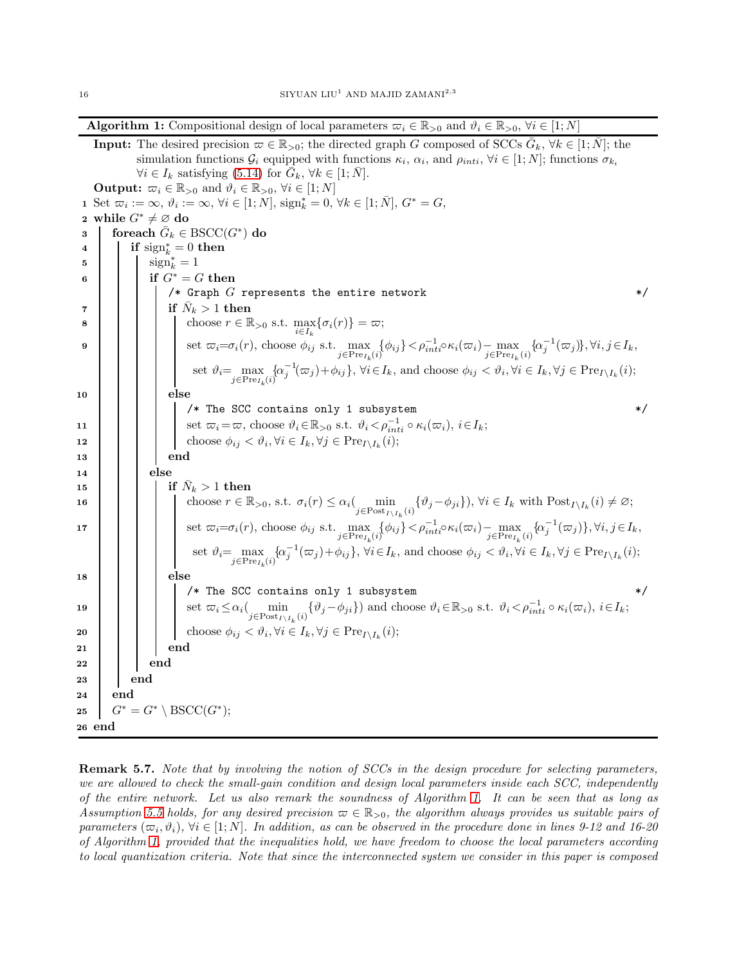**Algorithm 1:** Compositional design of local parameters  $\varpi_i \in \mathbb{R}_{>0}$  and  $\vartheta_i \in \mathbb{R}_{>0}$ ,  $\forall i \in [1; N]$ 

**Input:** The desired precision  $\varpi \in \mathbb{R}_{>0}$ ; the directed graph G composed of SCCs  $\bar{G}_k$ ,  $\forall k \in [1; \bar{N}]$ ; the simulation functions  $\mathcal{G}_i$  equipped with functions  $\kappa_i$ ,  $\alpha_i$ , and  $\rho_{inti}$ ,  $\forall i \in [1; N]$ ; functions  $\sigma_{k_i}$  $\forall i \in I_k$  satisfying [\(5.14\)](#page-14-2) for  $\overline{G}_k$ ,  $\forall k \in [1; \overline{N}]$ . **Output:**  $\varpi_i \in \mathbb{R}_{>0}$  and  $\vartheta_i \in \mathbb{R}_{>0}$ ,  $\forall i \in [1; N]$ 1 Set  $\overline{\omega}_i := \infty$ ,  $\vartheta_i := \infty$ ,  $\forall i \in [1; N]$ ,  $\text{sign}_k^* = 0$ ,  $\forall k \in [1; \overline{N}]$ ,  $G^* = G$ , 2 while  $G^* \neq \emptyset$  do 3 foreach  $\bar{G}_k \in \text{BSCC}(G^*)$  do 4 if  $sign_k^* = 0$  then 5  $\sin^*_{k} = 1$ 6 if  $G^* = G$  then  $/*$  Graph  $G$  represents the entire network  $*$ <sup>7</sup> if N¯ <sup>k</sup> > 1 then 8 choose  $r \in \mathbb{R}_{>0}$  s.t.  $\max_{i \in I_k} {\{\sigma_i(r)\}} = \varpi;$ 9 set  $\overline{\omega_i} = \sigma_i(r)$ , choose  $\phi_{ij}$  s.t.  $\max_{j \in \text{Pre}_{I_k}(i)} {\{\phi_{ij}\}} < \rho_{int}^{-1} \circ \kappa_i(\overline{\omega_i}) - \max_{j \in \text{Pre}_{I_k}(i)} {\{\alpha_j^{-1}(\overline{\omega_j})\}}, \forall i, j \in I_k$ set  $\vartheta_i = \max_{j \in \text{Pre}_{I_k}(i)} \{\alpha_j^{-1}(\varpi_j) + \phi_{ij}\}, \ \forall i \in I_k, \text{ and choose } \phi_{ij} < \vartheta_i, \forall i \in I_k, \forall j \in \text{Pre}_{I \setminus I_k}(i);$ 10 | | | else /\* The SCC contains only 1 subsystem \*/ 11  $\vert$  set  $\overline{\omega}_i = \overline{\omega}$ , choose  $\vartheta_i \in \mathbb{R}_{>0}$  s.t.  $\vartheta_i < \rho_{inti}^{-1} \circ \kappa_i(\overline{\omega}_i), i \in I_k$ ; 12 choose  $\phi_{ij} < \vartheta_i, \forall i \in I_k, \forall j \in \text{Pre}_{I \setminus I_k}(i);$ 13 | | | | end 14 | | else  $\begin{array}{|c|c|c|}\hline \text{15} & \text{ } & \text{ } \text{if} \ \bar{N}_k > 1 \text{ then} \ \hline \end{array}$ 16 choose  $r \in \mathbb{R}_{>0}$ , s.t.  $\sigma_i(r) \leq \alpha_i \left( \min_{j \in \text{Post}_{I \setminus I_k}(i)} \{ \vartheta_j - \phi_{ji} \} \right)$ ,  $\forall i \in I_k$  with  $\text{Post}_{I \setminus I_k}(i) \neq \emptyset$ ; 17 set  $\overline{\omega_i} = \sigma_i(r)$ , choose  $\phi_{ij}$  s.t.  $\max_{j \in \text{Pre}_{I_k}(i)} {\{\phi_{ij}\}} < \rho_{inti}^{-1} \circ \kappa_i(\overline{\omega}_i) - \max_{j \in \text{Pre}_{I_k}(i)} {\{\alpha_j^{-1}(\overline{\omega}_j)\}}, \forall i, j \in I_k$ set  $\vartheta_i = \max_{j \in \text{Pre}_{I_k}(i)} \{\alpha_j^{-1}(\varpi_j) + \phi_{ij}\}, \forall i \in I_k, \text{ and choose } \phi_{ij} < \vartheta_i, \forall i \in I_k, \forall j \in \text{Pre}_{I \setminus I_k}(i);$  $18$  | | | | else /\* The SCC contains only 1 subsystem 19 | | | set  $\overline{\omega}_i \leq \alpha_i$  | min  $\min_{j \in \text{Post}_{I \setminus I_k}(i)} \{ \vartheta_j - \varphi_{ji} \}$  and choose  $\vartheta_i \in \mathbb{R}_{>0}$  s.t.  $\vartheta_i < \rho_{inti}^{-1} \circ \kappa_i(\varpi_i), i \in I_k;$ **20** choose  $\phi_{ij} < \vartheta_i, \forall i \in I_k, \forall j \in \text{Pre}_{I \setminus I_k}(i);$  $21$  | | | end  $22$  | | | end 23 end 24 end 25  $G^* = G^* \setminus \text{BSCC}(G^*)$ ; 26 end

<span id="page-15-0"></span>Remark 5.7. Note that by involving the notion of SCCs in the design procedure for selecting parameters, we are allowed to check the small-gain condition and design local parameters inside each SCC, independently of the entire network. Let us also remark the soundness of Algorithm [1.](#page-15-0) It can be seen that as long as Assumption [5.5](#page-13-3) holds, for any desired precision  $\varpi \in \mathbb{R}_{>0}$ , the algorithm always provides us suitable pairs of parameters  $(\varpi_i, \vartheta_i)$ ,  $\forall i \in [1; N]$ . In addition, as can be observed in the procedure done in lines 9-12 and 16-20 of Algorithm [1,](#page-15-0) provided that the inequalities hold, we have freedom to choose the local parameters according to local quantization criteria. Note that since the interconnected system we consider in this paper is composed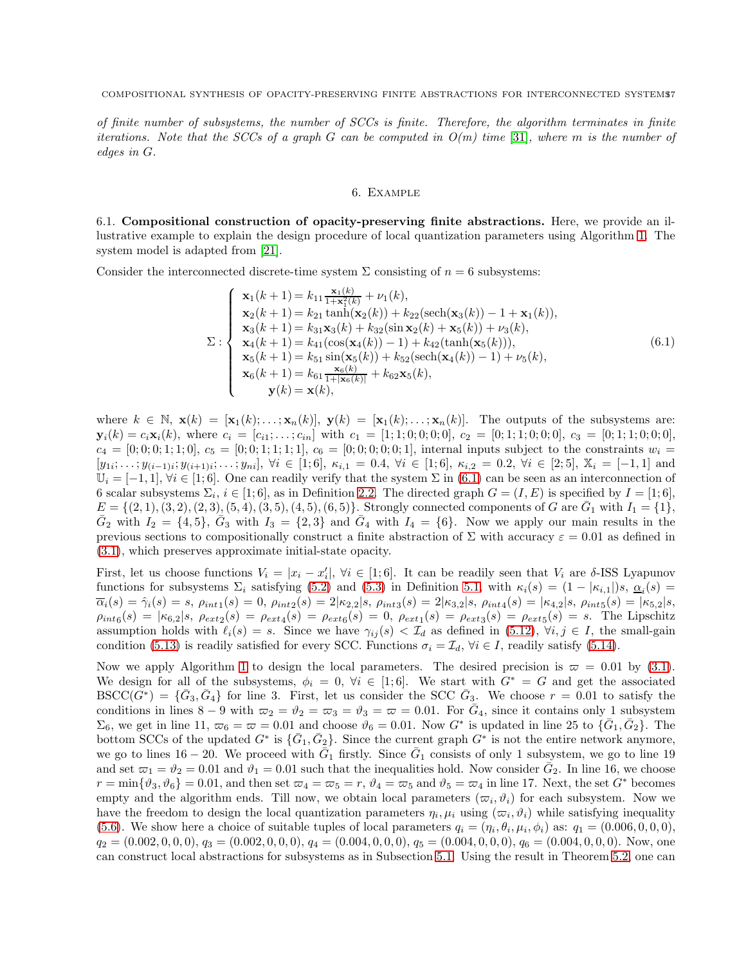of finite number of subsystems, the number of SCCs is finite. Therefore, the algorithm terminates in finite iterations. Note that the SCCs of a graph G can be computed in  $O(m)$  time [\[31\]](#page-20-8), where m is the number of edges in G.

# <span id="page-16-0"></span>6. Example

6.1. Compositional construction of opacity-preserving finite abstractions. Here, we provide an illustrative example to explain the design procedure of local quantization parameters using Algorithm [1.](#page-15-0) The system model is adapted from [\[21\]](#page-19-20).

Consider the interconnected discrete-time system  $\Sigma$  consisting of  $n = 6$  subsystems:

$$
\Sigma: \begin{cases}\n\mathbf{x}_{1}(k+1) = k_{11} \frac{\mathbf{x}_{1}(k)}{1+\mathbf{x}_{1}^{2}(k)} + \nu_{1}(k), \\
\mathbf{x}_{2}(k+1) = k_{21} \tanh(\mathbf{x}_{2}(k)) + k_{22}(\text{sech}(\mathbf{x}_{3}(k)) - 1 + \mathbf{x}_{1}(k)), \\
\mathbf{x}_{3}(k+1) = k_{31} \mathbf{x}_{3}(k) + k_{32}(\sin \mathbf{x}_{2}(k) + \mathbf{x}_{5}(k)) + \nu_{3}(k), \\
\mathbf{x}_{4}(k+1) = k_{41}(\cos(\mathbf{x}_{4}(k)) - 1) + k_{42}(\tanh(\mathbf{x}_{5}(k))), \\
\mathbf{x}_{5}(k+1) = k_{51} \sin(\mathbf{x}_{5}(k)) + k_{52}(\text{sech}(\mathbf{x}_{4}(k)) - 1) + \nu_{5}(k), \\
\mathbf{x}_{6}(k+1) = k_{61} \frac{\mathbf{x}_{6}(k)}{1+|\mathbf{x}_{6}(k)|} + k_{62} \mathbf{x}_{5}(k), \\
\mathbf{y}(k) = \mathbf{x}(k),\n\end{cases} (6.1)
$$

where  $k \in \mathbb{N}$ ,  $\mathbf{x}(k) = [\mathbf{x}_1(k); \dots; \mathbf{x}_n(k)], \mathbf{y}(k) = [\mathbf{x}_1(k); \dots; \mathbf{x}_n(k)].$  The outputs of the subsystems are:  $\mathbf{y}_i(k) = c_i \mathbf{x}_i(k)$ , where  $c_i = [c_{i1}; \ldots; c_{in}]$  with  $c_1 = [1; 1; 0; 0; 0; 0]$ ,  $c_2 = [0; 1; 1; 0; 0; 0]$ ,  $c_3 = [0; 1; 1; 0; 0; 0]$ ,  $c_4 = [0; 0; 0; 1; 1; 0], c_5 = [0; 0; 1; 1; 1; 1], c_6 = [0; 0; 0; 0; 0; 1],$  internal inputs subject to the constraints  $w_i =$  $[y_{1i}; \ldots; y_{(i-1)i}; y_{(i+1)i}; \ldots; y_{ni}], \forall i \in [1; 6], \ \kappa_{i,1} = 0.4, \ \forall i \in [1; 6], \ \kappa_{i,2} = 0.2, \ \forall i \in [2; 5], \ \mathbb{X}_i = [-1, 1] \text{ and }$  $\mathbb{U}_i = [-1,1], \forall i \in [1,6].$  One can readily verify that the system  $\Sigma$  in [\(6.1\)](#page-16-0) can be seen as an interconnection of 6 scalar subsystems  $\Sigma_i$ ,  $i \in [1, 6]$ , as in Definition [2.2.](#page-3-4) The directed graph  $G = (I, E)$  is specified by  $I = [1, 6]$ ,  $E = \{(2, 1), (3, 2), (2, 3), (5, 4), (3, 5), (4, 5), (6, 5)\}.$  Strongly connected components of G are  $\bar{G}_1$  with  $I_1 = \{1\},$  $\bar{G}_2$  with  $I_2 = \{4, 5\}$ ,  $\bar{G}_3$  with  $I_3 = \{2, 3\}$  and  $\bar{G}_4$  with  $I_4 = \{6\}$ . Now we apply our main results in the previous sections to compositionally construct a finite abstraction of  $\Sigma$  with accuracy  $\varepsilon = 0.01$  as defined in [\(3.1\)](#page-6-3), which preserves approximate initial-state opacity.

First, let us choose functions  $V_i = |x_i - x'_i|$ ,  $\forall i \in [1, 6]$ . It can be readily seen that  $V_i$  are  $\delta$ -ISS Lyapunov functions for subsystems  $\Sigma_i$  satisfying [\(5.2\)](#page-11-3) and [\(5.3\)](#page-11-4) in Definition [5.1,](#page-11-1) with  $\kappa_i(s) = (1 - |\kappa_{i,1}|)s, \underline{\alpha}_i(s) =$  $\overline{\alpha}_i(s) = \hat{\gamma}_i(s) = s, \, \rho_{int1}(s) = 0, \, \rho_{int2}(s) = 2|\kappa_{2,2}|s, \, \rho_{int3}(s) = 2|\kappa_{3,2}|s, \, \rho_{int4}(s) = |\kappa_{4,2}|s, \, \rho_{int5}(s) = |\kappa_{5,2}|s,$  $\rho_{int6}(s) = |\kappa_{6,2}|s, \ \rho_{ext2}(s) = \rho_{ext4}(s) = \rho_{ext6}(s) = 0, \ \rho_{ext1}(s) = \rho_{ext3}(s) = \rho_{ext5}(s) = s.$  The Lipschitz assumption holds with  $\ell_i(s) = s$ . Since we have  $\gamma_{ij}(s) < \mathcal{I}_d$  as defined in [\(5.12\)](#page-14-3),  $\forall i, j \in I$ , the small-gain condition [\(5.13\)](#page-14-1) is readily satisfied for every SCC. Functions  $\sigma_i = \mathcal{I}_d$ ,  $\forall i \in I$ , readily satisfy [\(5.14\)](#page-14-2).

Now we apply Algorithm [1](#page-15-0) to design the local parameters. The desired precision is  $\varpi = 0.01$  by [\(3.1\)](#page-6-3). We design for all of the subsystems,  $\phi_i = 0$ ,  $\forall i \in [1, 6]$ . We start with  $G^* = G$  and get the associated  $BSCC(\tilde{G}^*) = {\bar{G}_3, \bar{G}_4}$  for line 3. First, let us consider the SCC  $\bar{G}_3$ . We choose  $r = 0.01$  to satisfy the conditions in lines  $8-9$  with  $\varpi_2 = \vartheta_2 = \varpi_3 = \vartheta_3 = \varpi = 0.01$ . For  $\bar{G}_4$ , since it contains only 1 subsystem  $\Sigma_6$ , we get in line 11,  $\varpi_6 = \varpi = 0.01$  and choose  $\vartheta_6 = 0.01$ . Now  $G^*$  is updated in line 25 to  $\{ \bar{G}_1, \bar{G}_2 \}$ . The bottom SCCs of the updated  $G^*$  is  $\{\bar{G}_1, \bar{G}_2\}$ . Since the current graph  $G^*$  is not the entire network anymore, we go to lines  $16-20$ . We proceed with  $\bar{G}_1$  firstly. Since  $\bar{G}_1$  consists of only 1 subsystem, we go to line 19 and set  $\overline{\omega}_1 = \vartheta_2 = 0.01$  and  $\overline{\vartheta}_1 = 0.01$  such that the inequalities hold. Now consider  $\overline{\vec{G}}_2$ . In line 16, we choose  $r = \min\{\vartheta_3, \vartheta_6\} = 0.01$ , and then set  $\varpi_4 = \varpi_5 = r$ ,  $\vartheta_4 = \varpi_5$  and  $\vartheta_5 = \varpi_4$  in line 17. Next, the set  $G^*$  becomes empty and the algorithm ends. Till now, we obtain local parameters  $(\varpi_i, \vartheta_i)$  for each subsystem. Now we have the freedom to design the local quantization parameters  $\eta_i, \mu_i$  using  $(\varpi_i, \vartheta_i)$  while satisfying inequality [\(5.6\)](#page-12-0). We show here a choice of suitable tuples of local parameters  $q_i = (\eta_i, \theta_i, \mu_i, \phi_i)$  as:  $q_1 = (0.006, 0, 0, 0)$ ,  $q_2 = (0.002, 0, 0, 0), q_3 = (0.002, 0, 0, 0), q_4 = (0.004, 0, 0, 0), q_5 = (0.004, 0, 0, 0), q_6 = (0.004, 0, 0, 0).$  Now, one can construct local abstractions for subsystems as in Subsection [5.1.](#page-11-0) Using the result in Theorem [5.2,](#page-12-3) one can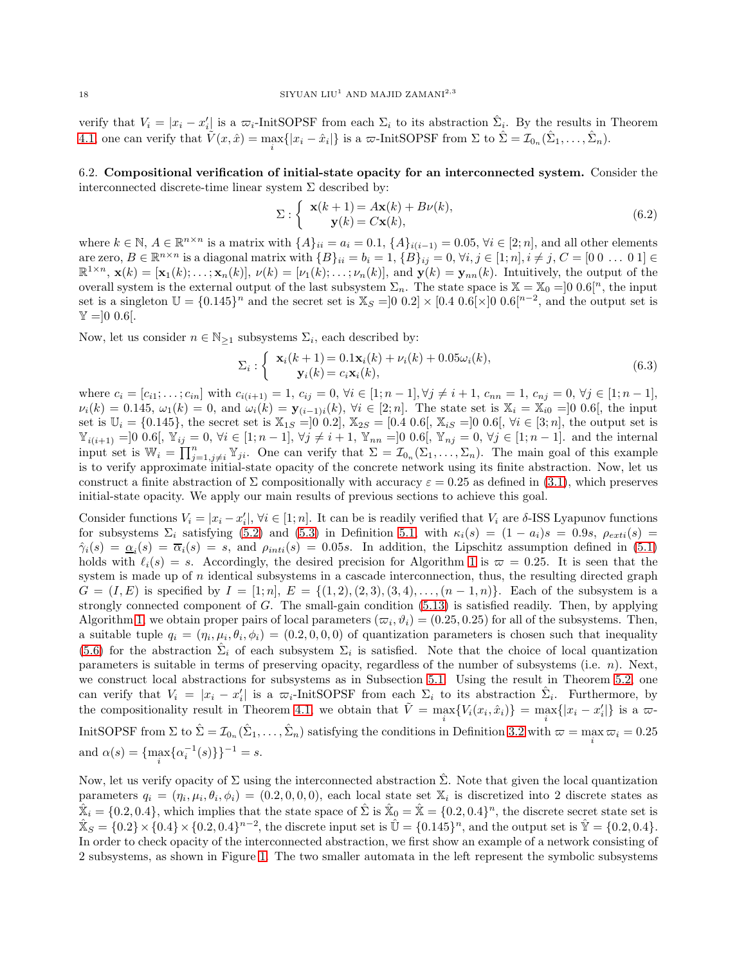verify that  $V_i = |x_i - x'_i|$  is a  $\overline{\omega}_i$ -InitSOPSF from each  $\Sigma_i$  to its abstraction  $\hat{\Sigma}_i$ . By the results in Theorem [4.1,](#page-9-2) one can verify that  $\tilde{V}(x, \hat{x}) = \max_i \{|x_i - \hat{x}_i|\}$  is a  $\varpi$ -InitSOPSF from  $\Sigma$  to  $\hat{\Sigma} = \mathcal{I}_{0_n}(\hat{\Sigma}_1, \dots, \hat{\Sigma}_n)$ .

6.2. Compositional verification of initial-state opacity for an interconnected system. Consider the interconnected discrete-time linear system  $\Sigma$  described by:

$$
\Sigma: \begin{cases} \mathbf{x}(k+1) = A\mathbf{x}(k) + B\nu(k), \\ \mathbf{y}(k) = C\mathbf{x}(k), \end{cases}
$$
\n(6.2)

where  $k \in \mathbb{N}$ ,  $A \in \mathbb{R}^{n \times n}$  is a matrix with  $\{A\}_{ii} = a_i = 0.1$ ,  $\{A\}_{i(i-1)} = 0.05$ ,  $\forall i \in [2; n]$ , and all other elements are zero,  $B \in \mathbb{R}^{n \times n}$  is a diagonal matrix with  $\{B\}_{ii} = b_i = 1$ ,  $\{B\}_{ij} = 0$ ,  $\forall i, j \in [1; n], i \neq j$ ,  $C = [0 \ 0 \ \dots \ 0 \ 1] \in$  $\mathbb{R}^{1 \times n}$ ,  $\mathbf{x}(k) = [\mathbf{x}_1(k); \ldots; \mathbf{x}_n(k)], \nu(k) = [\nu_1(k); \ldots; \nu_n(k)],$  and  $\mathbf{y}(k) = \mathbf{y}_{nn}(k)$ . Intuitively, the output of the overall system is the external output of the last subsystem  $\Sigma_n$ . The state space is  $\mathbb{X} = \mathbb{X}_0 = ]0 \cdot 0.6[^n$ , the input set is a singleton  $\mathbb{U} = \{0.145\}^n$  and the secret set is  $\mathbb{X}_S = ]0\ 0.2] \times [0.4\ 0.6[\times]0\ 0.6[^{n-2}]$ , and the output set is  $\mathbb{Y} = ]0 \; 0.6$ .

Now, let us consider  $n \in \mathbb{N}_{\geq 1}$  subsystems  $\Sigma_i$ , each described by:

$$
\Sigma_i: \begin{cases} \mathbf{x}_i(k+1) = 0.1\mathbf{x}_i(k) + \nu_i(k) + 0.05\omega_i(k), \\ \mathbf{y}_i(k) = c_i\mathbf{x}_i(k), \end{cases}
$$
(6.3)

where  $c_i = [c_{i1}; \ldots; c_{in}]$  with  $c_{i(i+1)} = 1$ ,  $c_{ij} = 0$ ,  $\forall i \in [1; n-1]$ ,  $\forall j \neq i+1$ ,  $c_{nn} = 1$ ,  $c_{nj} = 0$ ,  $\forall j \in [1; n-1]$ ,  $\nu_i(k) = 0.145, \, \omega_1(k) = 0, \text{ and } \omega_i(k) = \mathbf{y}_{(i-1)i}(k), \, \forall i \in [2; n].$  The state set is  $\mathbb{X}_i = \mathbb{X}_{i0} = ]0 \cdot 0.6[$ , the input set is  $\mathbb{U}_i = \{0.145\}$ , the secret set is  $\mathbb{X}_{1S} = ]0 \; 0.2]$ ,  $\mathbb{X}_{2S} = [0.4 \; 0.6], \mathbb{X}_{iS} = ]0 \; 0.6], \forall i \in [3; n]$ , the output set is  $\mathbb{Y}_{i(i+1)} =]0 \; 0.6[, \mathbb{Y}_{ij} = 0, \forall i \in [1; n-1], \forall j \neq i+1, \mathbb{Y}_{nn} =]0 \; 0.6[, \mathbb{Y}_{nj} = 0, \forall j \in [1; n-1].$  and the internal input set is  $\mathbb{W}_i = \prod_{j=1, j\neq i}^n \mathbb{Y}_{ji}$ . One can verify that  $\Sigma = \mathcal{I}_{0_n}(\Sigma_1, \ldots, \Sigma_n)$ . The main goal of this example is to verify approximate initial-state opacity of the concrete network using its finite abstraction. Now, let us construct a finite abstraction of  $\Sigma$  compositionally with accuracy  $\varepsilon = 0.25$  as defined in [\(3.1\)](#page-6-3), which preserves initial-state opacity. We apply our main results of previous sections to achieve this goal.

Consider functions  $V_i = |x_i - x'_i|$ ,  $\forall i \in [1; n]$ . It can be is readily verified that  $V_i$  are  $\delta$ -ISS Lyapunov functions for subsystems  $\Sigma_i$  satisfying [\(5.2\)](#page-11-3) and [\(5.3\)](#page-11-4) in Definition [5.1,](#page-11-1) with  $\kappa_i(s) = (1 - a_i)s = 0.9s$ ,  $\rho_{exti}(s) =$  $\hat{\gamma}_i(s) = \underline{\alpha}_i(s) = \overline{\alpha}_i(s) = s$ , and  $\rho_{inti}(s) = 0.05s$ . In addition, the Lipschitz assumption defined in [\(5.1\)](#page-11-5) holds with  $\ell_i(s) = s$ . Accordingly, the desired precision for Algorithm [1](#page-15-0) is  $\varpi = 0.25$ . It is seen that the system is made up of  $n$  identical subsystems in a cascade interconnection, thus, the resulting directed graph  $G = (I, E)$  is specified by  $I = [1; n], E = \{(1, 2), (2, 3), (3, 4), \ldots, (n - 1, n)\}.$  Each of the subsystem is a strongly connected component of  $G$ . The small-gain condition  $(5.13)$  is satisfied readily. Then, by applying Algorithm [1,](#page-15-0) we obtain proper pairs of local parameters  $(\varpi_i, \vartheta_i) = (0.25, 0.25)$  for all of the subsystems. Then, a suitable tuple  $q_i = (\eta_i, \mu_i, \theta_i, \phi_i) = (0.2, 0, 0, 0)$  of quantization parameters is chosen such that inequality [\(5.6\)](#page-12-0) for the abstraction  $\hat{\Sigma}_i$  of each subsystem  $\Sigma_i$  is satisfied. Note that the choice of local quantization parameters is suitable in terms of preserving opacity, regardless of the number of subsystems (i.e.  $n$ ). Next, we construct local abstractions for subsystems as in Subsection [5.1.](#page-11-0) Using the result in Theorem [5.2,](#page-12-3) one can verify that  $V_i = |x_i - x'_i|$  is a  $\overline{\omega}_i$ -InitSOPSF from each  $\Sigma_i$  to its abstraction  $\hat{\Sigma}_i$ . Furthermore, by the compositionality result in Theorem [4.1,](#page-9-2) we obtain that  $\tilde{V} = \max_i \{ V_i(x_i, \hat{x}_i) \} = \max_i \{ |x_i - x'_i| \}$  is a  $\varpi$ -InitSOPSF from  $\Sigma$  to  $\hat{\Sigma} = \mathcal{I}_{0n}(\hat{\Sigma}_1, \dots, \hat{\Sigma}_n)$  satisfying the conditions in Definition [3.2](#page-5-1) with  $\varpi = \max_i \varpi_i = 0.25$ and  $\alpha(s) = {\max_i \{\alpha_i^{-1}(s)\}}^{-1} = s.$ 

Now, let us verify opacity of  $\Sigma$  using the interconnected abstraction  $\Sigma$ . Note that given the local quantization parameters  $q_i = (\eta_i, \mu_i, \theta_i, \phi_i) = (0.2, 0, 0, 0)$ , each local state set  $\mathbb{X}_i$  is discretized into 2 discrete states as  $\hat{\mathbb{X}}_i = \{0.2, 0.4\}$ , which implies that the state space of  $\hat{\Sigma}$  is  $\hat{\mathbb{X}}_0 = \hat{\mathbb{X}} = \{0.2, 0.4\}^n$ , the discrete secret state set is  $\hat{X}_S = \{0.2\} \times \{0.4\} \times \{0.2, 0.4\}^{n-2}$ , the discrete input set is  $\hat{U} = \{0.145\}^n$ , and the output set is  $\hat{Y} = \{0.2, 0.4\}$ . In order to check opacity of the interconnected abstraction, we first show an example of a network consisting of 2 subsystems, as shown in Figure [1.](#page-18-0) The two smaller automata in the left represent the symbolic subsystems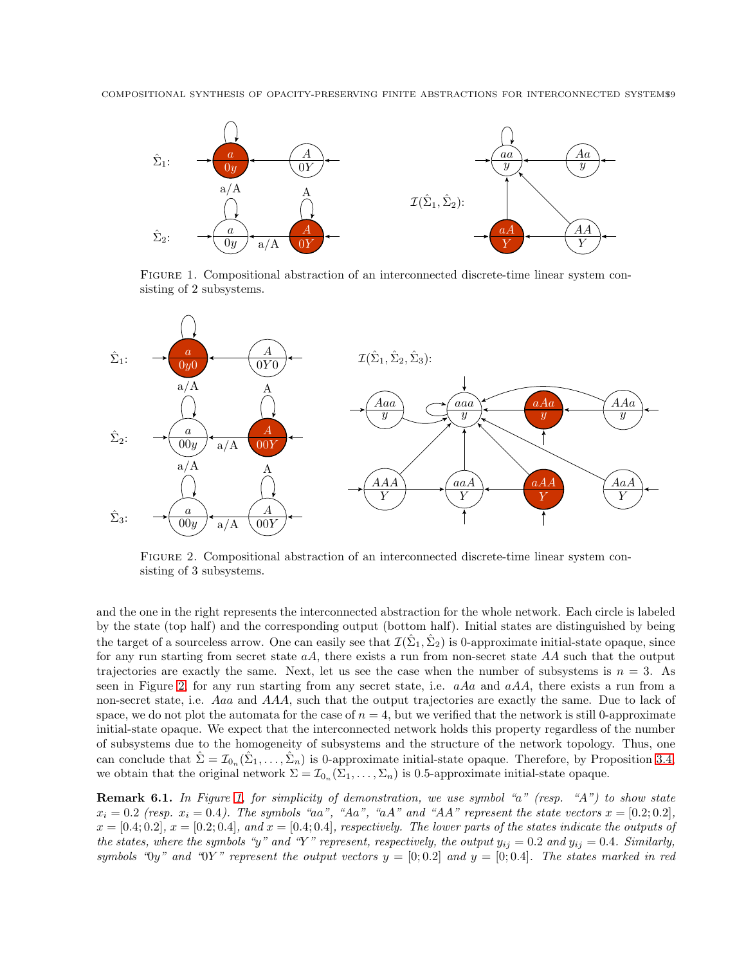

<span id="page-18-0"></span>Figure 1. Compositional abstraction of an interconnected discrete-time linear system consisting of 2 subsystems.



<span id="page-18-1"></span>Figure 2. Compositional abstraction of an interconnected discrete-time linear system consisting of 3 subsystems.

and the one in the right represents the interconnected abstraction for the whole network. Each circle is labeled by the state (top half) and the corresponding output (bottom half). Initial states are distinguished by being the target of a sourceless arrow. One can easily see that  $\mathcal{I}(\hat{\Sigma}_1, \hat{\Sigma}_2)$  is 0-approximate initial-state opaque, since for any run starting from secret state  $aA$ , there exists a run from non-secret state  $AA$  such that the output trajectories are exactly the same. Next, let us see the case when the number of subsystems is  $n = 3$ . As seen in Figure [2,](#page-18-1) for any run starting from any secret state, i.e.  $aAa$  and  $aAA$ , there exists a run from a non-secret state, i.e. Aaa and AAA, such that the output trajectories are exactly the same. Due to lack of space, we do not plot the automata for the case of  $n = 4$ , but we verified that the network is still 0-approximate initial-state opaque. We expect that the interconnected network holds this property regardless of the number of subsystems due to the homogeneity of subsystems and the structure of the network topology. Thus, one can conclude that  $\hat{\Sigma} = \mathcal{I}_{0n}(\hat{\Sigma}_1, \dots, \hat{\Sigma}_n)$  is 0-approximate initial-state opaque. Therefore, by Proposition [3.4,](#page-6-1) we obtain that the original network  $\Sigma = \mathcal{I}_{0_n}(\Sigma_1, \ldots, \Sigma_n)$  is 0.5-approximate initial-state opaque.

**Remark 6.1.** In Figure [1,](#page-18-0) for simplicity of demonstration, we use symbol "a" (resp. "A") to show state  $x_i = 0.2$  (resp.  $x_i = 0.4$ ). The symbols "aa", "Aa", "aA" and "AA" represent the state vectors  $x = [0.2, 0.2]$ ,  $x = [0.4; 0.2], x = [0.2; 0.4],$  and  $x = [0.4; 0.4],$  respectively. The lower parts of the states indicate the outputs of the states, where the symbols "y" and "Y" represent, respectively, the output  $y_{ij} = 0.2$  and  $y_{ij} = 0.4$ . Similarly, symbols " $0y$ " and " $0Y$ " represent the output vectors  $y = [0; 0.2]$  and  $y = [0; 0.4]$ . The states marked in red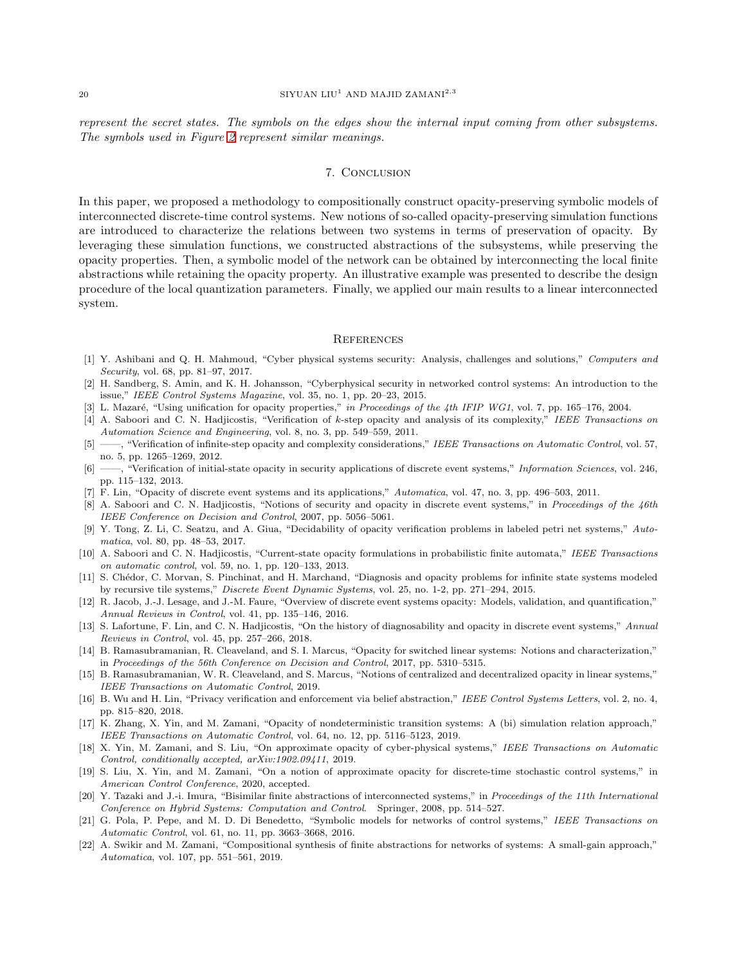represent the secret states. The symbols on the edges show the internal input coming from other subsystems. The symbols used in Figure [2](#page-18-1) represent similar meanings.

### 7. Conclusion

In this paper, we proposed a methodology to compositionally construct opacity-preserving symbolic models of interconnected discrete-time control systems. New notions of so-called opacity-preserving simulation functions are introduced to characterize the relations between two systems in terms of preservation of opacity. By leveraging these simulation functions, we constructed abstractions of the subsystems, while preserving the opacity properties. Then, a symbolic model of the network can be obtained by interconnecting the local finite abstractions while retaining the opacity property. An illustrative example was presented to describe the design procedure of the local quantization parameters. Finally, we applied our main results to a linear interconnected system.

### **REFERENCES**

- <span id="page-19-0"></span>[1] Y. Ashibani and Q. H. Mahmoud, "Cyber physical systems security: Analysis, challenges and solutions," *Computers and Security*, vol. 68, pp. 81–97, 2017.
- <span id="page-19-1"></span>[2] H. Sandberg, S. Amin, and K. H. Johansson, "Cyberphysical security in networked control systems: An introduction to the issue," *IEEE Control Systems Magazine*, vol. 35, no. 1, pp. 20–23, 2015.
- <span id="page-19-3"></span><span id="page-19-2"></span>[3] L. Mazar´e, "Using unification for opacity properties," *in Proceedings of the 4th IFIP WG1*, vol. 7, pp. 165–176, 2004.
- [4] A. Saboori and C. N. Hadjicostis, "Verification of k-step opacity and analysis of its complexity," *IEEE Transactions on Automation Science and Engineering*, vol. 8, no. 3, pp. 549–559, 2011.
- <span id="page-19-4"></span>[5] ——, "Verification of infinite-step opacity and complexity considerations," *IEEE Transactions on Automatic Control*, vol. 57, no. 5, pp. 1265–1269, 2012.
- <span id="page-19-5"></span>[6] ——, "Verification of initial-state opacity in security applications of discrete event systems," *Information Sciences*, vol. 246, pp. 115–132, 2013.
- <span id="page-19-7"></span><span id="page-19-6"></span>[7] F. Lin, "Opacity of discrete event systems and its applications," *Automatica*, vol. 47, no. 3, pp. 496–503, 2011.
- [8] A. Saboori and C. N. Hadjicostis, "Notions of security and opacity in discrete event systems," in *Proceedings of the 46th IEEE Conference on Decision and Control*, 2007, pp. 5056–5061.
- <span id="page-19-8"></span>[9] Y. Tong, Z. Li, C. Seatzu, and A. Giua, "Decidability of opacity verification problems in labeled petri net systems," *Automatica*, vol. 80, pp. 48–53, 2017.
- <span id="page-19-9"></span>[10] A. Saboori and C. N. Hadjicostis, "Current-state opacity formulations in probabilistic finite automata," *IEEE Transactions on automatic control*, vol. 59, no. 1, pp. 120–133, 2013.
- <span id="page-19-10"></span>[11] S. Chédor, C. Morvan, S. Pinchinat, and H. Marchand, "Diagnosis and opacity problems for infinite state systems modeled by recursive tile systems," *Discrete Event Dynamic Systems*, vol. 25, no. 1-2, pp. 271–294, 2015.
- <span id="page-19-11"></span>[12] R. Jacob, J.-J. Lesage, and J.-M. Faure, "Overview of discrete event systems opacity: Models, validation, and quantification," *Annual Reviews in Control*, vol. 41, pp. 135–146, 2016.
- <span id="page-19-12"></span>[13] S. Lafortune, F. Lin, and C. N. Hadjicostis, "On the history of diagnosability and opacity in discrete event systems," *Annual Reviews in Control*, vol. 45, pp. 257–266, 2018.
- <span id="page-19-13"></span>[14] B. Ramasubramanian, R. Cleaveland, and S. I. Marcus, "Opacity for switched linear systems: Notions and characterization," in *Proceedings of the 56th Conference on Decision and Control*, 2017, pp. 5310–5315.
- <span id="page-19-14"></span>[15] B. Ramasubramanian, W. R. Cleaveland, and S. Marcus, "Notions of centralized and decentralized opacity in linear systems," *IEEE Transactions on Automatic Control*, 2019.
- <span id="page-19-15"></span>[16] B. Wu and H. Lin, "Privacy verification and enforcement via belief abstraction," *IEEE Control Systems Letters*, vol. 2, no. 4, pp. 815–820, 2018.
- <span id="page-19-16"></span>[17] K. Zhang, X. Yin, and M. Zamani, "Opacity of nondeterministic transition systems: A (bi) simulation relation approach," *IEEE Transactions on Automatic Control*, vol. 64, no. 12, pp. 5116–5123, 2019.
- <span id="page-19-17"></span>[18] X. Yin, M. Zamani, and S. Liu, "On approximate opacity of cyber-physical systems," *IEEE Transactions on Automatic Control, conditionally accepted, arXiv:1902.09411*, 2019.
- <span id="page-19-18"></span>[19] S. Liu, X. Yin, and M. Zamani, "On a notion of approximate opacity for discrete-time stochastic control systems," in *American Control Conference*, 2020, accepted.
- <span id="page-19-19"></span>[20] Y. Tazaki and J.-i. Imura, "Bisimilar finite abstractions of interconnected systems," in *Proceedings of the 11th International Conference on Hybrid Systems: Computation and Control*. Springer, 2008, pp. 514–527.
- <span id="page-19-20"></span>[21] G. Pola, P. Pepe, and M. D. Di Benedetto, "Symbolic models for networks of control systems," *IEEE Transactions on Automatic Control*, vol. 61, no. 11, pp. 3663–3668, 2016.
- <span id="page-19-21"></span>[22] A. Swikir and M. Zamani, "Compositional synthesis of finite abstractions for networks of systems: A small-gain approach," *Automatica*, vol. 107, pp. 551–561, 2019.